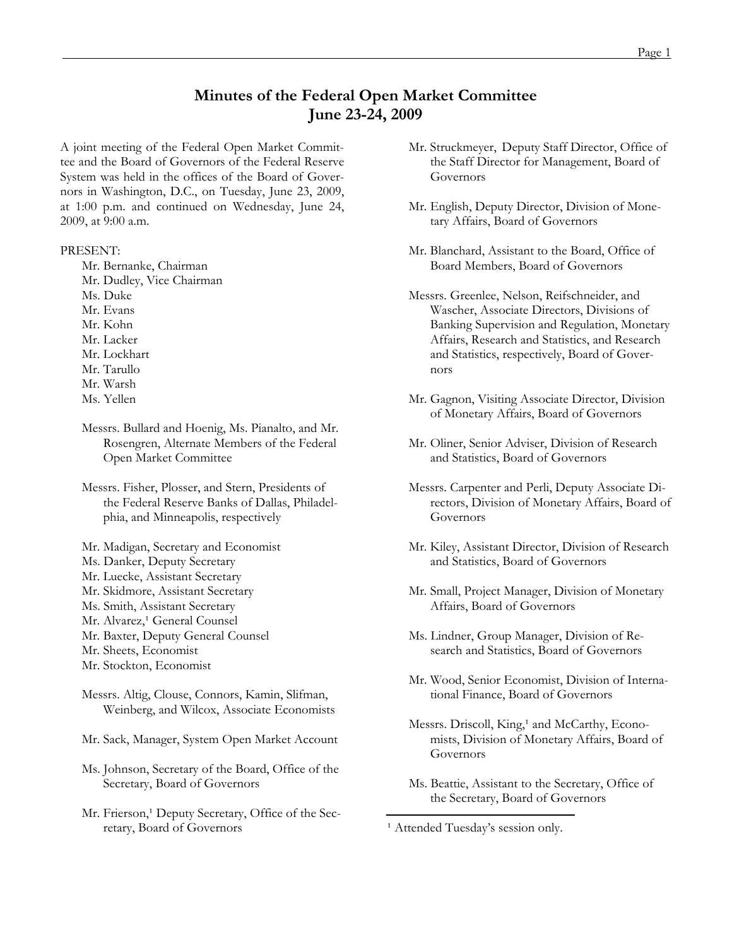# **Minutes of the Federal Open Market Committee June 23-24, 2009**

A joint meeting of the Federal Open Market Committee and the Board of Governors of the Federal Reserve System was held in the offices of the Board of Governors in Washington, D.C., on Tuesday, June 23, 2009, at 1:00 p.m. and continued on Wednesday, June 24, 2009, at 9:00 a.m.

#### PRESENT:

- Mr. Bernanke, Chairman
- Mr. Dudley, Vice Chairman
- Ms. Duke
- Mr. Evans
- Mr. Kohn
- Mr. Lacker
- Mr. Lockhart
- Mr. Tarullo
- Mr. Warsh
- Ms. Yellen
- Messrs. Bullard and Hoenig, Ms. Pianalto, and Mr. Rosengren, Alternate Members of the Federal Open Market Committee
- Messrs. Fisher, Plosser, and Stern, Presidents of the Federal Reserve Banks of Dallas, Philadelphia, and Minneapolis, respectively
- Mr. Madigan, Secretary and Economist
- Ms. Danker, Deputy Secretary
- Mr. Luecke, Assistant Secretary
- Mr. Skidmore, Assistant Secretary
- Ms. Smith, Assistant Secretary
- Mr. Alvarez,<sup>1</sup> General Counsel
- Mr. Baxter, Deputy General Counsel
- Mr. Sheets, Economist
- Mr. Stockton, Economist
- Messrs. Altig, Clouse, Connors, Kamin, Slifman, Weinberg, and Wilcox, Associate Economists
- Mr. Sack, Manager, System Open Market Account
- Ms. Johnson, Secretary of the Board, Office of the Secretary, Board of Governors
- Mr. Frierson,<sup>1</sup> Deputy Secretary, Office of the Secretary, Board of Governors
- Mr. Struckmeyer, Deputy Staff Director, Office of the Staff Director for Management, Board of Governors
- Mr. English, Deputy Director, Division of Monetary Affairs, Board of Governors
- Mr. Blanchard, Assistant to the Board, Office of Board Members, Board of Governors
- Messrs. Greenlee, Nelson, Reifschneider, and Wascher, Associate Directors, Divisions of Banking Supervision and Regulation, Monetary Affairs, Research and Statistics, and Research and Statistics, respectively, Board of Governors
- Mr. Gagnon, Visiting Associate Director, Division of Monetary Affairs, Board of Governors
- Mr. Oliner, Senior Adviser, Division of Research and Statistics, Board of Governors
- Messrs. Carpenter and Perli, Deputy Associate Directors, Division of Monetary Affairs, Board of Governors
- Mr. Kiley, Assistant Director, Division of Research and Statistics, Board of Governors
- Mr. Small, Project Manager, Division of Monetary Affairs, Board of Governors
- Ms. Lindner, Group Manager, Division of Research and Statistics, Board of Governors
- Mr. Wood, Senior Economist, Division of International Finance, Board of Governors
- Messrs. Driscoll, King,<sup>1</sup> and McCarthy, Economists, Division of Monetary Affairs, Board of Governors
- Ms. Beattie, Assistant to the Secretary, Office of the Secretary, Board of Governors

<sup>1</sup> Attended Tuesday's session only.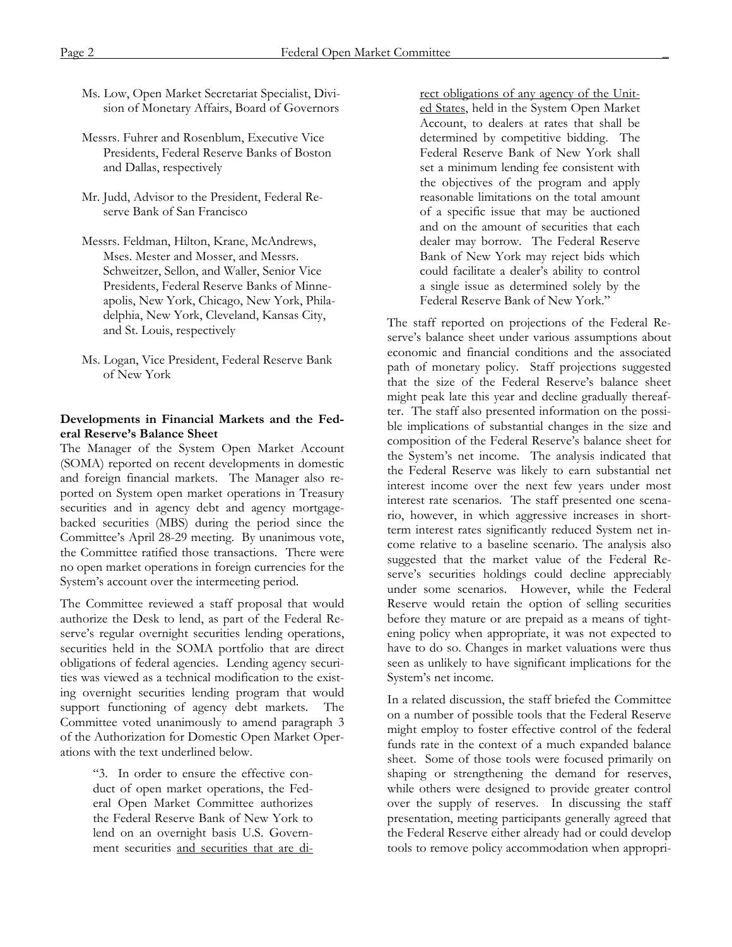- Ms. Low, Open Market Secretariat Specialist, Division of Monetary Affairs, Board of Governors
- Messrs. Fuhrer and Rosenblum, Executive Vice Presidents, Federal Reserve Banks of Boston and Dallas, respectively
- Mr. Judd, Advisor to the President, Federal Reserve Bank of San Francisco
- Messrs. Feldman, Hilton, Krane, McAndrews, Mses. Mester and Mosser, and Messrs. Schweitzer, Sellon, and Waller, Senior Vice Presidents, Federal Reserve Banks of Minneapolis, New York, Chicago, New York, Philadelphia, New York, Cleveland, Kansas City, and St. Louis, respectively
- Ms. Logan, Vice President, Federal Reserve Bank of New York

#### **Developments in Financial Markets and the Federal Reserve's Balance Sheet**

The Manager of the System Open Market Account (SOMA) reported on recent developments in domestic and foreign financial markets. The Manager also reported on System open market operations in Treasury securities and in agency debt and agency mortgagebacked securities (MBS) during the period since the Committee's April 28-29 meeting. By unanimous vote, the Committee ratified those transactions. There were no open market operations in foreign currencies for the System's account over the intermeeting period.

The Committee reviewed a staff proposal that would authorize the Desk to lend, as part of the Federal Reserve's regular overnight securities lending operations, securities held in the SOMA portfolio that are direct obligations of federal agencies. Lending agency securities was viewed as a technical modification to the existing overnight securities lending program that would support functioning of agency debt markets. The Committee voted unanimously to amend paragraph 3 of the Authorization for Domestic Open Market Operations with the text underlined below.

> "3. In order to ensure the effective conduct of open market operations, the Federal Open Market Committee authorizes the Federal Reserve Bank of New York to lend on an overnight basis U.S. Government securities and securities that are di

rect obligations of any agency of the United States, held in the System Open Market Account, to dealers at rates that shall be determined by competitive bidding. The Federal Reserve Bank of New York shall set a minimum lending fee consistent with the objectives of the program and apply reasonable limitations on the total amount of a specific issue that may be auctioned and on the amount of securities that each dealer may borrow. The Federal Reserve Bank of New York may reject bids which could facilitate a dealer's ability to control a single issue as determined solely by the Federal Reserve Bank of New York."

The staff reported on projections of the Federal Reserve's balance sheet under various assumptions about economic and financial conditions and the associated path of monetary policy. Staff projections suggested that the size of the Federal Reserve's balance sheet might peak late this year and decline gradually thereafter. The staff also presented information on the possible implications of substantial changes in the size and composition of the Federal Reserve's balance sheet for the System's net income. The analysis indicated that the Federal Reserve was likely to earn substantial net interest income over the next few years under most interest rate scenarios. The staff presented one scenario, however, in which aggressive increases in shortterm interest rates significantly reduced System net income relative to a baseline scenario. The analysis also suggested that the market value of the Federal Reserve's securities holdings could decline appreciably under some scenarios. However, while the Federal Reserve would retain the option of selling securities before they mature or are prepaid as a means of tightening policy when appropriate, it was not expected to have to do so. Changes in market valuations were thus seen as unlikely to have significant implications for the System's net income.

In a related discussion, the staff briefed the Committee on a number of possible tools that the Federal Reserve might employ to foster effective control of the federal funds rate in the context of a much expanded balance sheet. Some of those tools were focused primarily on shaping or strengthening the demand for reserves, while others were designed to provide greater control over the supply of reserves. In discussing the staff presentation, meeting participants generally agreed that the Federal Reserve either already had or could develop tools to remove policy accommodation when appropri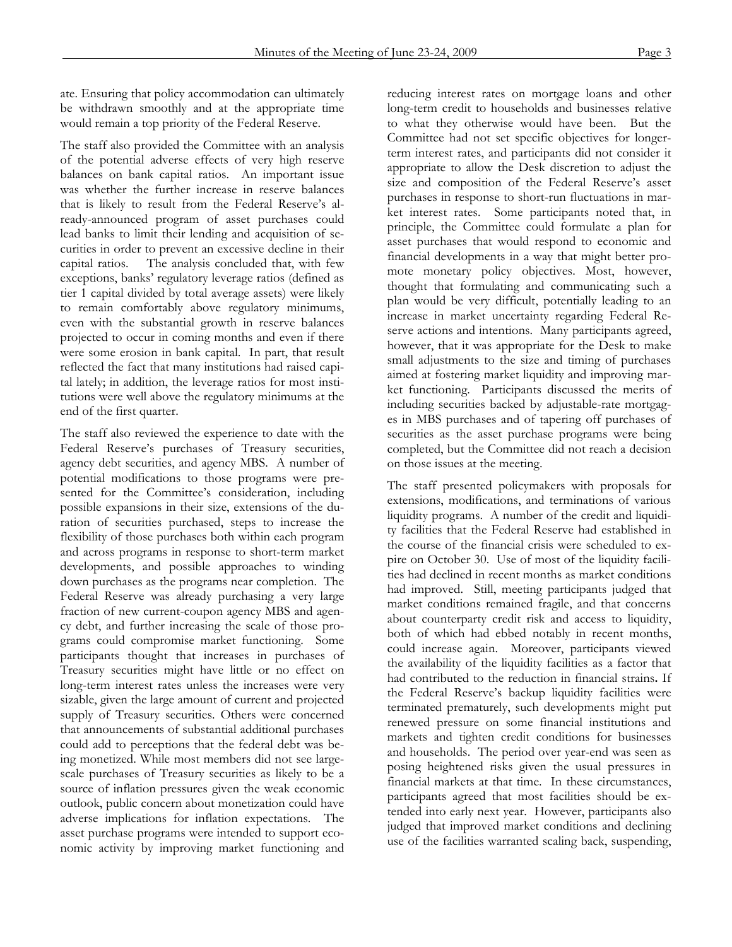ate. Ensuring that policy accommodation can ultimately be withdrawn smoothly and at the appropriate time would remain a top priority of the Federal Reserve.

The staff also provided the Committee with an analysis of the potential adverse effects of very high reserve balances on bank capital ratios. An important issue was whether the further increase in reserve balances that is likely to result from the Federal Reserve's already-announced program of asset purchases could lead banks to limit their lending and acquisition of securities in order to prevent an excessive decline in their capital ratios. The analysis concluded that, with few exceptions, banks' regulatory leverage ratios (defined as tier 1 capital divided by total average assets) were likely to remain comfortably above regulatory minimums, even with the substantial growth in reserve balances projected to occur in coming months and even if there were some erosion in bank capital. In part, that result reflected the fact that many institutions had raised capital lately; in addition, the leverage ratios for most institutions were well above the regulatory minimums at the end of the first quarter.

The staff also reviewed the experience to date with the Federal Reserve's purchases of Treasury securities, agency debt securities, and agency MBS. A number of potential modifications to those programs were presented for the Committee's consideration, including possible expansions in their size, extensions of the duration of securities purchased, steps to increase the flexibility of those purchases both within each program and across programs in response to short-term market developments, and possible approaches to winding down purchases as the programs near completion. The Federal Reserve was already purchasing a very large fraction of new current-coupon agency MBS and agency debt, and further increasing the scale of those programs could compromise market functioning. Some participants thought that increases in purchases of Treasury securities might have little or no effect on long-term interest rates unless the increases were very sizable, given the large amount of current and projected supply of Treasury securities. Others were concerned that announcements of substantial additional purchases could add to perceptions that the federal debt was being monetized. While most members did not see largescale purchases of Treasury securities as likely to be a source of inflation pressures given the weak economic outlook, public concern about monetization could have adverse implications for inflation expectations. The asset purchase programs were intended to support economic activity by improving market functioning and

reducing interest rates on mortgage loans and other long-term credit to households and businesses relative to what they otherwise would have been. But the Committee had not set specific objectives for longerterm interest rates, and participants did not consider it appropriate to allow the Desk discretion to adjust the size and composition of the Federal Reserve's asset purchases in response to short-run fluctuations in market interest rates. Some participants noted that, in principle, the Committee could formulate a plan for asset purchases that would respond to economic and financial developments in a way that might better promote monetary policy objectives. Most, however, thought that formulating and communicating such a plan would be very difficult, potentially leading to an increase in market uncertainty regarding Federal Reserve actions and intentions. Many participants agreed, however, that it was appropriate for the Desk to make small adjustments to the size and timing of purchases aimed at fostering market liquidity and improving market functioning. Participants discussed the merits of including securities backed by adjustable-rate mortgages in MBS purchases and of tapering off purchases of securities as the asset purchase programs were being completed, but the Committee did not reach a decision on those issues at the meeting.

The staff presented policymakers with proposals for extensions, modifications, and terminations of various liquidity programs. A number of the credit and liquidity facilities that the Federal Reserve had established in the course of the financial crisis were scheduled to expire on October 30. Use of most of the liquidity facilities had declined in recent months as market conditions had improved. Still, meeting participants judged that market conditions remained fragile, and that concerns about counterparty credit risk and access to liquidity, both of which had ebbed notably in recent months, could increase again. Moreover, participants viewed the availability of the liquidity facilities as a factor that had contributed to the reduction in financial strains**.** If the Federal Reserve's backup liquidity facilities were terminated prematurely, such developments might put renewed pressure on some financial institutions and markets and tighten credit conditions for businesses and households. The period over year-end was seen as posing heightened risks given the usual pressures in financial markets at that time. In these circumstances, participants agreed that most facilities should be extended into early next year. However, participants also judged that improved market conditions and declining use of the facilities warranted scaling back, suspending,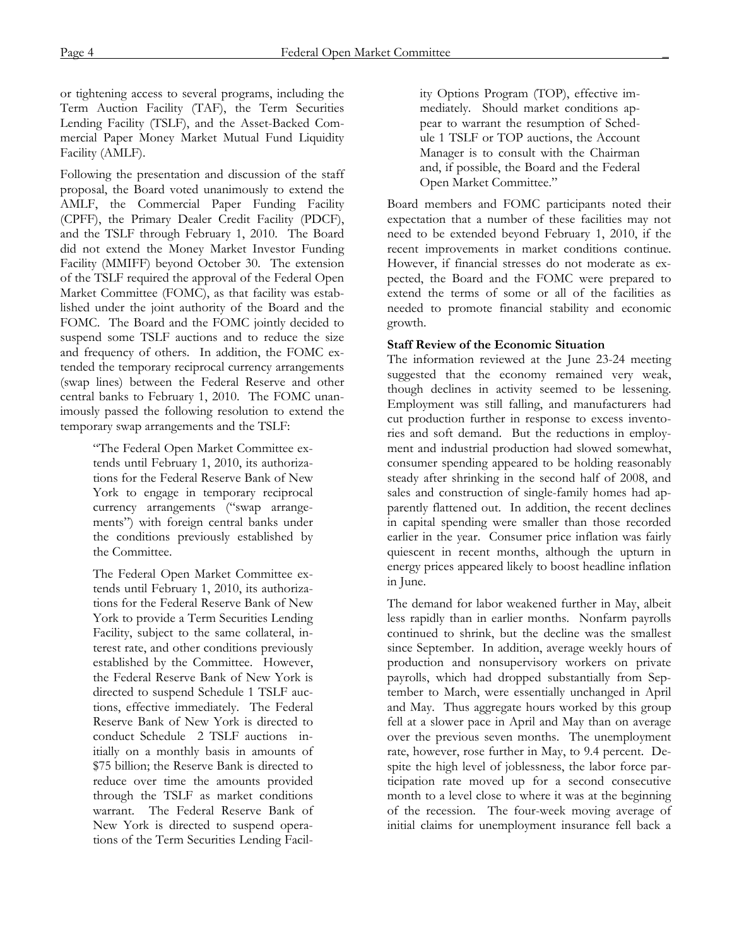or tightening access to several programs, including the Term Auction Facility (TAF), the Term Securities Lending Facility (TSLF), and the Asset-Backed Commercial Paper Money Market Mutual Fund Liquidity Facility (AMLF).

Following the presentation and discussion of the staff proposal, the Board voted unanimously to extend the AMLF, the Commercial Paper Funding Facility (CPFF), the Primary Dealer Credit Facility (PDCF), and the TSLF through February 1, 2010. The Board did not extend the Money Market Investor Funding Facility (MMIFF) beyond October 30. The extension of the TSLF required the approval of the Federal Open Market Committee (FOMC), as that facility was established under the joint authority of the Board and the FOMC. The Board and the FOMC jointly decided to suspend some TSLF auctions and to reduce the size and frequency of others. In addition, the FOMC extended the temporary reciprocal currency arrangements (swap lines) between the Federal Reserve and other central banks to February 1, 2010. The FOMC unanimously passed the following resolution to extend the temporary swap arrangements and the TSLF:

> "The Federal Open Market Committee extends until February 1, 2010, its authorizations for the Federal Reserve Bank of New York to engage in temporary reciprocal currency arrangements ("swap arrangements") with foreign central banks under the conditions previously established by the Committee.

> The Federal Open Market Committee extends until February 1, 2010, its authorizations for the Federal Reserve Bank of New York to provide a Term Securities Lending Facility, subject to the same collateral, interest rate, and other conditions previously established by the Committee. However, the Federal Reserve Bank of New York is directed to suspend Schedule 1 TSLF auctions, effective immediately. The Federal Reserve Bank of New York is directed to conduct Schedule 2 TSLF auctions initially on a monthly basis in amounts of \$75 billion; the Reserve Bank is directed to reduce over time the amounts provided through the TSLF as market conditions warrant. The Federal Reserve Bank of New York is directed to suspend operations of the Term Securities Lending Facil

ity Options Program (TOP), effective immediately. Should market conditions appear to warrant the resumption of Schedule 1 TSLF or TOP auctions, the Account Manager is to consult with the Chairman and, if possible, the Board and the Federal Open Market Committee."

Board members and FOMC participants noted their expectation that a number of these facilities may not need to be extended beyond February 1, 2010, if the recent improvements in market conditions continue. However, if financial stresses do not moderate as expected, the Board and the FOMC were prepared to extend the terms of some or all of the facilities as needed to promote financial stability and economic growth.

## **Staff Review of the Economic Situation**

The information reviewed at the June 23-24 meeting suggested that the economy remained very weak, though declines in activity seemed to be lessening. Employment was still falling, and manufacturers had cut production further in response to excess inventories and soft demand. But the reductions in employment and industrial production had slowed somewhat, consumer spending appeared to be holding reasonably steady after shrinking in the second half of 2008, and sales and construction of single-family homes had apparently flattened out. In addition, the recent declines in capital spending were smaller than those recorded earlier in the year. Consumer price inflation was fairly quiescent in recent months, although the upturn in energy prices appeared likely to boost headline inflation in June.

The demand for labor weakened further in May, albeit less rapidly than in earlier months. Nonfarm payrolls continued to shrink, but the decline was the smallest since September. In addition, average weekly hours of production and nonsupervisory workers on private payrolls, which had dropped substantially from September to March, were essentially unchanged in April and May. Thus aggregate hours worked by this group fell at a slower pace in April and May than on average over the previous seven months. The unemployment rate, however, rose further in May, to 9.4 percent. Despite the high level of joblessness, the labor force participation rate moved up for a second consecutive month to a level close to where it was at the beginning of the recession. The four-week moving average of initial claims for unemployment insurance fell back a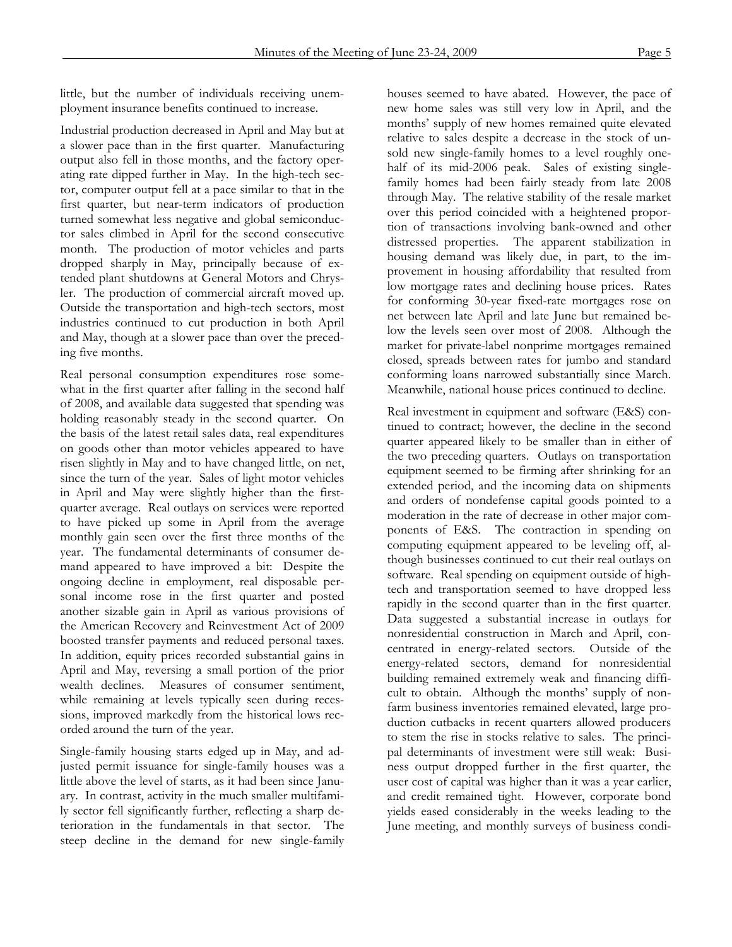little, but the number of individuals receiving unemployment insurance benefits continued to increase.

Industrial production decreased in April and May but at a slower pace than in the first quarter. Manufacturing output also fell in those months, and the factory operating rate dipped further in May. In the high-tech sector, computer output fell at a pace similar to that in the first quarter, but near-term indicators of production turned somewhat less negative and global semiconductor sales climbed in April for the second consecutive month. The production of motor vehicles and parts dropped sharply in May, principally because of extended plant shutdowns at General Motors and Chrysler. The production of commercial aircraft moved up. Outside the transportation and high-tech sectors, most industries continued to cut production in both April and May, though at a slower pace than over the preceding five months.

Real personal consumption expenditures rose somewhat in the first quarter after falling in the second half of 2008, and available data suggested that spending was holding reasonably steady in the second quarter. On the basis of the latest retail sales data, real expenditures on goods other than motor vehicles appeared to have risen slightly in May and to have changed little, on net, since the turn of the year. Sales of light motor vehicles in April and May were slightly higher than the firstquarter average. Real outlays on services were reported to have picked up some in April from the average monthly gain seen over the first three months of the year. The fundamental determinants of consumer demand appeared to have improved a bit: Despite the ongoing decline in employment, real disposable personal income rose in the first quarter and posted another sizable gain in April as various provisions of the American Recovery and Reinvestment Act of 2009 boosted transfer payments and reduced personal taxes. In addition, equity prices recorded substantial gains in April and May, reversing a small portion of the prior wealth declines. Measures of consumer sentiment, while remaining at levels typically seen during recessions, improved markedly from the historical lows recorded around the turn of the year.

Single-family housing starts edged up in May, and adjusted permit issuance for single-family houses was a little above the level of starts, as it had been since January. In contrast, activity in the much smaller multifamily sector fell significantly further, reflecting a sharp deterioration in the fundamentals in that sector. The steep decline in the demand for new single-family houses seemed to have abated. However, the pace of new home sales was still very low in April, and the months' supply of new homes remained quite elevated relative to sales despite a decrease in the stock of unsold new single-family homes to a level roughly onehalf of its mid-2006 peak. Sales of existing singlefamily homes had been fairly steady from late 2008 through May. The relative stability of the resale market over this period coincided with a heightened proportion of transactions involving bank-owned and other distressed properties. The apparent stabilization in housing demand was likely due, in part, to the improvement in housing affordability that resulted from low mortgage rates and declining house prices. Rates for conforming 30-year fixed-rate mortgages rose on net between late April and late June but remained below the levels seen over most of 2008. Although the market for private-label nonprime mortgages remained closed, spreads between rates for jumbo and standard conforming loans narrowed substantially since March. Meanwhile, national house prices continued to decline.

Real investment in equipment and software (E&S) continued to contract; however, the decline in the second quarter appeared likely to be smaller than in either of the two preceding quarters. Outlays on transportation equipment seemed to be firming after shrinking for an extended period, and the incoming data on shipments and orders of nondefense capital goods pointed to a moderation in the rate of decrease in other major components of E&S. The contraction in spending on computing equipment appeared to be leveling off, although businesses continued to cut their real outlays on software. Real spending on equipment outside of hightech and transportation seemed to have dropped less rapidly in the second quarter than in the first quarter. Data suggested a substantial increase in outlays for nonresidential construction in March and April, concentrated in energy-related sectors. Outside of the energy-related sectors, demand for nonresidential building remained extremely weak and financing difficult to obtain. Although the months' supply of nonfarm business inventories remained elevated, large production cutbacks in recent quarters allowed producers to stem the rise in stocks relative to sales. The principal determinants of investment were still weak: Business output dropped further in the first quarter, the user cost of capital was higher than it was a year earlier, and credit remained tight. However, corporate bond yields eased considerably in the weeks leading to the June meeting, and monthly surveys of business condi-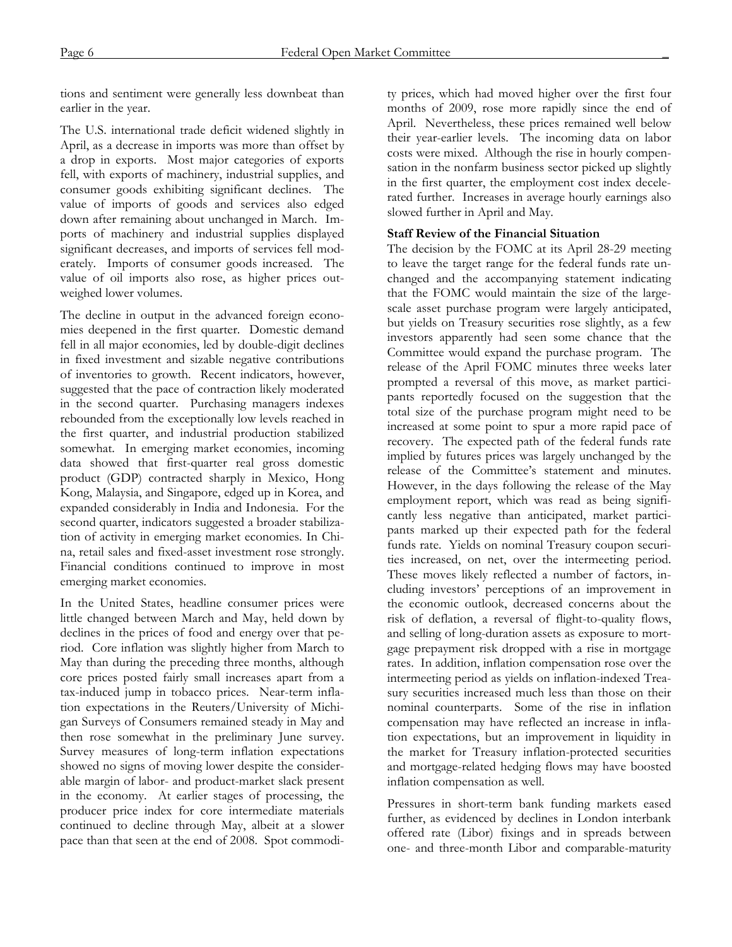tions and sentiment were generally less downbeat than earlier in the year.

The U.S. international trade deficit widened slightly in April, as a decrease in imports was more than offset by a drop in exports. Most major categories of exports fell, with exports of machinery, industrial supplies, and consumer goods exhibiting significant declines. The value of imports of goods and services also edged down after remaining about unchanged in March. Imports of machinery and industrial supplies displayed significant decreases, and imports of services fell moderately. Imports of consumer goods increased. The value of oil imports also rose, as higher prices outweighed lower volumes.

The decline in output in the advanced foreign economies deepened in the first quarter. Domestic demand fell in all major economies, led by double-digit declines in fixed investment and sizable negative contributions of inventories to growth. Recent indicators, however, suggested that the pace of contraction likely moderated in the second quarter. Purchasing managers indexes rebounded from the exceptionally low levels reached in the first quarter, and industrial production stabilized somewhat. In emerging market economies, incoming data showed that first-quarter real gross domestic product (GDP) contracted sharply in Mexico, Hong Kong, Malaysia, and Singapore, edged up in Korea, and expanded considerably in India and Indonesia. For the second quarter, indicators suggested a broader stabilization of activity in emerging market economies. In China, retail sales and fixed-asset investment rose strongly. Financial conditions continued to improve in most emerging market economies.

In the United States, headline consumer prices were little changed between March and May, held down by declines in the prices of food and energy over that period. Core inflation was slightly higher from March to May than during the preceding three months, although core prices posted fairly small increases apart from a tax-induced jump in tobacco prices. Near-term inflation expectations in the Reuters/University of Michigan Surveys of Consumers remained steady in May and then rose somewhat in the preliminary June survey. Survey measures of long-term inflation expectations showed no signs of moving lower despite the considerable margin of labor- and product-market slack present in the economy. At earlier stages of processing, the producer price index for core intermediate materials continued to decline through May, albeit at a slower pace than that seen at the end of 2008. Spot commodity prices, which had moved higher over the first four months of 2009, rose more rapidly since the end of April. Nevertheless, these prices remained well below their year-earlier levels. The incoming data on labor costs were mixed. Although the rise in hourly compensation in the nonfarm business sector picked up slightly in the first quarter, the employment cost index decelerated further. Increases in average hourly earnings also slowed further in April and May.

## **Staff Review of the Financial Situation**

The decision by the FOMC at its April 28-29 meeting to leave the target range for the federal funds rate unchanged and the accompanying statement indicating that the FOMC would maintain the size of the largescale asset purchase program were largely anticipated, but yields on Treasury securities rose slightly, as a few investors apparently had seen some chance that the Committee would expand the purchase program. The release of the April FOMC minutes three weeks later prompted a reversal of this move, as market participants reportedly focused on the suggestion that the total size of the purchase program might need to be increased at some point to spur a more rapid pace of recovery. The expected path of the federal funds rate implied by futures prices was largely unchanged by the release of the Committee's statement and minutes. However, in the days following the release of the May employment report, which was read as being significantly less negative than anticipated, market participants marked up their expected path for the federal funds rate. Yields on nominal Treasury coupon securities increased, on net, over the intermeeting period. These moves likely reflected a number of factors, including investors' perceptions of an improvement in the economic outlook, decreased concerns about the risk of deflation, a reversal of flight-to-quality flows, and selling of long-duration assets as exposure to mortgage prepayment risk dropped with a rise in mortgage rates. In addition, inflation compensation rose over the intermeeting period as yields on inflation-indexed Treasury securities increased much less than those on their nominal counterparts. Some of the rise in inflation compensation may have reflected an increase in inflation expectations, but an improvement in liquidity in the market for Treasury inflation-protected securities and mortgage-related hedging flows may have boosted inflation compensation as well.

Pressures in short-term bank funding markets eased further, as evidenced by declines in London interbank offered rate (Libor) fixings and in spreads between one- and three-month Libor and comparable-maturity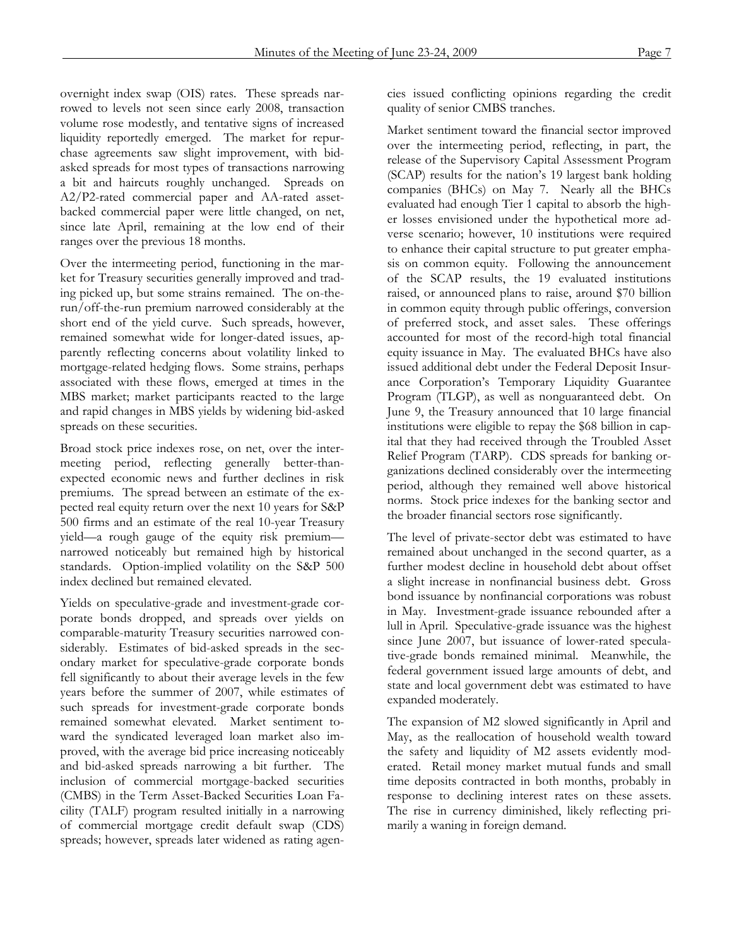overnight index swap (OIS) rates. These spreads narrowed to levels not seen since early 2008, transaction volume rose modestly, and tentative signs of increased liquidity reportedly emerged. The market for repurchase agreements saw slight improvement, with bidasked spreads for most types of transactions narrowing a bit and haircuts roughly unchanged. Spreads on A2/P2-rated commercial paper and AA-rated assetbacked commercial paper were little changed, on net, since late April, remaining at the low end of their ranges over the previous 18 months.

Over the intermeeting period, functioning in the market for Treasury securities generally improved and trading picked up, but some strains remained. The on-therun/off-the-run premium narrowed considerably at the short end of the yield curve. Such spreads, however, remained somewhat wide for longer-dated issues, apparently reflecting concerns about volatility linked to mortgage-related hedging flows. Some strains, perhaps associated with these flows, emerged at times in the MBS market; market participants reacted to the large and rapid changes in MBS yields by widening bid-asked spreads on these securities.

Broad stock price indexes rose, on net, over the intermeeting period, reflecting generally better-thanexpected economic news and further declines in risk premiums. The spread between an estimate of the expected real equity return over the next 10 years for S&P 500 firms and an estimate of the real 10-year Treasury yield—a rough gauge of the equity risk premium narrowed noticeably but remained high by historical standards. Option-implied volatility on the S&P 500 index declined but remained elevated.

Yields on speculative-grade and investment-grade corporate bonds dropped, and spreads over yields on comparable-maturity Treasury securities narrowed considerably. Estimates of bid-asked spreads in the secondary market for speculative-grade corporate bonds fell significantly to about their average levels in the few years before the summer of 2007, while estimates of such spreads for investment-grade corporate bonds remained somewhat elevated. Market sentiment toward the syndicated leveraged loan market also improved, with the average bid price increasing noticeably and bid-asked spreads narrowing a bit further. The inclusion of commercial mortgage-backed securities (CMBS) in the Term Asset-Backed Securities Loan Facility (TALF) program resulted initially in a narrowing of commercial mortgage credit default swap (CDS) spreads; however, spreads later widened as rating agencies issued conflicting opinions regarding the credit quality of senior CMBS tranches.

Market sentiment toward the financial sector improved over the intermeeting period, reflecting, in part, the release of the Supervisory Capital Assessment Program (SCAP) results for the nation's 19 largest bank holding companies (BHCs) on May 7. Nearly all the BHCs evaluated had enough Tier 1 capital to absorb the higher losses envisioned under the hypothetical more adverse scenario; however, 10 institutions were required to enhance their capital structure to put greater emphasis on common equity. Following the announcement of the SCAP results, the 19 evaluated institutions raised, or announced plans to raise, around \$70 billion in common equity through public offerings, conversion of preferred stock, and asset sales. These offerings accounted for most of the record-high total financial equity issuance in May. The evaluated BHCs have also issued additional debt under the Federal Deposit Insurance Corporation's Temporary Liquidity Guarantee Program (TLGP), as well as nonguaranteed debt. On June 9, the Treasury announced that 10 large financial institutions were eligible to repay the \$68 billion in capital that they had received through the Troubled Asset Relief Program (TARP). CDS spreads for banking organizations declined considerably over the intermeeting period, although they remained well above historical norms. Stock price indexes for the banking sector and the broader financial sectors rose significantly.

The level of private-sector debt was estimated to have remained about unchanged in the second quarter, as a further modest decline in household debt about offset a slight increase in nonfinancial business debt. Gross bond issuance by nonfinancial corporations was robust in May. Investment-grade issuance rebounded after a lull in April. Speculative-grade issuance was the highest since June 2007, but issuance of lower-rated speculative-grade bonds remained minimal. Meanwhile, the federal government issued large amounts of debt, and state and local government debt was estimated to have expanded moderately.

The expansion of M2 slowed significantly in April and May, as the reallocation of household wealth toward the safety and liquidity of M2 assets evidently moderated. Retail money market mutual funds and small time deposits contracted in both months, probably in response to declining interest rates on these assets. The rise in currency diminished, likely reflecting primarily a waning in foreign demand.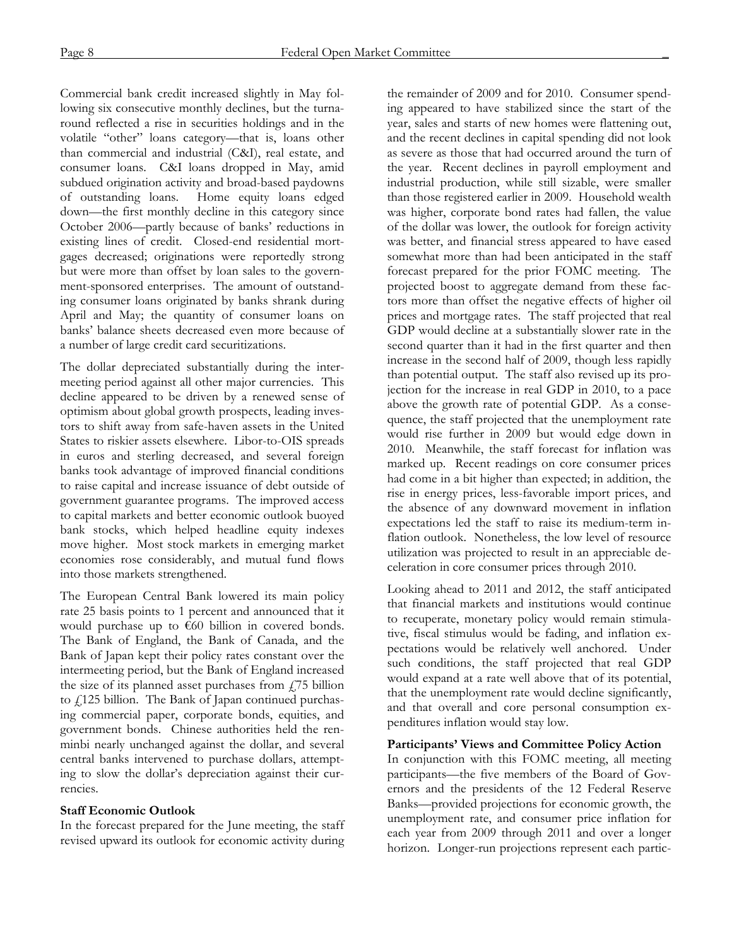Commercial bank credit increased slightly in May following six consecutive monthly declines, but the turnaround reflected a rise in securities holdings and in the volatile "other" loans category—that is, loans other than commercial and industrial (C&I), real estate, and consumer loans. C&I loans dropped in May, amid subdued origination activity and broad-based paydowns of outstanding loans. Home equity loans edged down—the first monthly decline in this category since October 2006—partly because of banks' reductions in existing lines of credit. Closed-end residential mortgages decreased; originations were reportedly strong but were more than offset by loan sales to the government-sponsored enterprises. The amount of outstanding consumer loans originated by banks shrank during April and May; the quantity of consumer loans on banks' balance sheets decreased even more because of a number of large credit card securitizations.

The dollar depreciated substantially during the intermeeting period against all other major currencies. This decline appeared to be driven by a renewed sense of optimism about global growth prospects, leading investors to shift away from safe-haven assets in the United States to riskier assets elsewhere. Libor-to-OIS spreads in euros and sterling decreased, and several foreign banks took advantage of improved financial conditions to raise capital and increase issuance of debt outside of government guarantee programs. The improved access to capital markets and better economic outlook buoyed bank stocks, which helped headline equity indexes move higher. Most stock markets in emerging market economies rose considerably, and mutual fund flows into those markets strengthened.

The European Central Bank lowered its main policy rate 25 basis points to 1 percent and announced that it would purchase up to €60 billion in covered bonds. The Bank of England, the Bank of Canada, and the Bank of Japan kept their policy rates constant over the intermeeting period, but the Bank of England increased the size of its planned asset purchases from  $f$ 75 billion to  $\sqrt{125}$  billion. The Bank of Japan continued purchasing commercial paper, corporate bonds, equities, and government bonds. Chinese authorities held the renminbi nearly unchanged against the dollar, and several central banks intervened to purchase dollars, attempting to slow the dollar's depreciation against their currencies.

## **Staff Economic Outlook**

In the forecast prepared for the June meeting, the staff revised upward its outlook for economic activity during

the remainder of 2009 and for 2010. Consumer spending appeared to have stabilized since the start of the year, sales and starts of new homes were flattening out, and the recent declines in capital spending did not look as severe as those that had occurred around the turn of the year. Recent declines in payroll employment and industrial production, while still sizable, were smaller than those registered earlier in 2009. Household wealth was higher, corporate bond rates had fallen, the value of the dollar was lower, the outlook for foreign activity was better, and financial stress appeared to have eased somewhat more than had been anticipated in the staff forecast prepared for the prior FOMC meeting. The projected boost to aggregate demand from these factors more than offset the negative effects of higher oil prices and mortgage rates. The staff projected that real GDP would decline at a substantially slower rate in the second quarter than it had in the first quarter and then increase in the second half of 2009, though less rapidly than potential output. The staff also revised up its projection for the increase in real GDP in 2010, to a pace above the growth rate of potential GDP. As a consequence, the staff projected that the unemployment rate would rise further in 2009 but would edge down in 2010. Meanwhile, the staff forecast for inflation was marked up. Recent readings on core consumer prices had come in a bit higher than expected; in addition, the rise in energy prices, less-favorable import prices, and the absence of any downward movement in inflation expectations led the staff to raise its medium-term inflation outlook. Nonetheless, the low level of resource utilization was projected to result in an appreciable deceleration in core consumer prices through 2010.

Looking ahead to 2011 and 2012, the staff anticipated that financial markets and institutions would continue to recuperate, monetary policy would remain stimulative, fiscal stimulus would be fading, and inflation expectations would be relatively well anchored. Under such conditions, the staff projected that real GDP would expand at a rate well above that of its potential, that the unemployment rate would decline significantly, and that overall and core personal consumption expenditures inflation would stay low.

## **Participants' Views and Committee Policy Action**

In conjunction with this FOMC meeting, all meeting participants—the five members of the Board of Governors and the presidents of the 12 Federal Reserve Banks—provided projections for economic growth, the unemployment rate, and consumer price inflation for each year from 2009 through 2011 and over a longer horizon. Longer-run projections represent each partic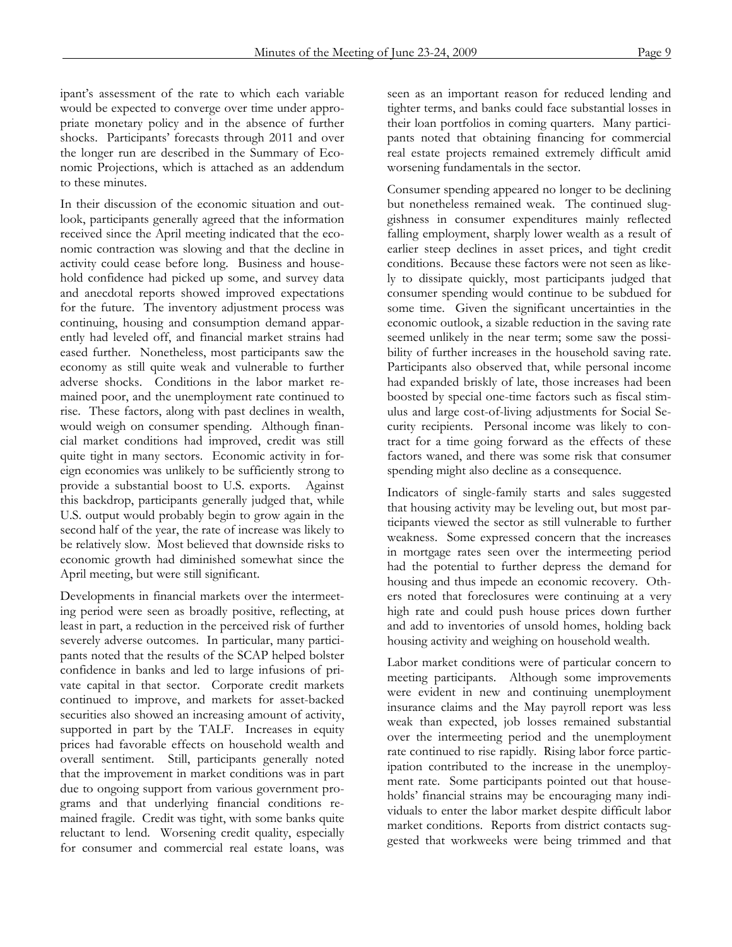ipant's assessment of the rate to which each variable would be expected to converge over time under appropriate monetary policy and in the absence of further shocks. Participants' forecasts through 2011 and over the longer run are described in the Summary of Economic Projections, which is attached as an addendum to these minutes.

In their discussion of the economic situation and outlook, participants generally agreed that the information received since the April meeting indicated that the economic contraction was slowing and that the decline in activity could cease before long. Business and household confidence had picked up some, and survey data and anecdotal reports showed improved expectations for the future. The inventory adjustment process was continuing, housing and consumption demand apparently had leveled off, and financial market strains had eased further. Nonetheless, most participants saw the economy as still quite weak and vulnerable to further adverse shocks. Conditions in the labor market remained poor, and the unemployment rate continued to rise. These factors, along with past declines in wealth, would weigh on consumer spending. Although financial market conditions had improved, credit was still quite tight in many sectors. Economic activity in foreign economies was unlikely to be sufficiently strong to provide a substantial boost to U.S. exports. Against this backdrop, participants generally judged that, while U.S. output would probably begin to grow again in the second half of the year, the rate of increase was likely to be relatively slow. Most believed that downside risks to economic growth had diminished somewhat since the April meeting, but were still significant.

Developments in financial markets over the intermeeting period were seen as broadly positive, reflecting, at least in part, a reduction in the perceived risk of further severely adverse outcomes. In particular, many participants noted that the results of the SCAP helped bolster confidence in banks and led to large infusions of private capital in that sector. Corporate credit markets continued to improve, and markets for asset-backed securities also showed an increasing amount of activity, supported in part by the TALF. Increases in equity prices had favorable effects on household wealth and overall sentiment. Still, participants generally noted that the improvement in market conditions was in part due to ongoing support from various government programs and that underlying financial conditions remained fragile. Credit was tight, with some banks quite reluctant to lend. Worsening credit quality, especially for consumer and commercial real estate loans, was

seen as an important reason for reduced lending and tighter terms, and banks could face substantial losses in their loan portfolios in coming quarters. Many participants noted that obtaining financing for commercial real estate projects remained extremely difficult amid worsening fundamentals in the sector.

Consumer spending appeared no longer to be declining but nonetheless remained weak. The continued sluggishness in consumer expenditures mainly reflected falling employment, sharply lower wealth as a result of earlier steep declines in asset prices, and tight credit conditions. Because these factors were not seen as likely to dissipate quickly, most participants judged that consumer spending would continue to be subdued for some time. Given the significant uncertainties in the economic outlook, a sizable reduction in the saving rate seemed unlikely in the near term; some saw the possibility of further increases in the household saving rate. Participants also observed that, while personal income had expanded briskly of late, those increases had been boosted by special one-time factors such as fiscal stimulus and large cost-of-living adjustments for Social Security recipients. Personal income was likely to contract for a time going forward as the effects of these factors waned, and there was some risk that consumer spending might also decline as a consequence.

Indicators of single-family starts and sales suggested that housing activity may be leveling out, but most participants viewed the sector as still vulnerable to further weakness. Some expressed concern that the increases in mortgage rates seen over the intermeeting period had the potential to further depress the demand for housing and thus impede an economic recovery. Others noted that foreclosures were continuing at a very high rate and could push house prices down further and add to inventories of unsold homes, holding back housing activity and weighing on household wealth.

Labor market conditions were of particular concern to meeting participants. Although some improvements were evident in new and continuing unemployment insurance claims and the May payroll report was less weak than expected, job losses remained substantial over the intermeeting period and the unemployment rate continued to rise rapidly. Rising labor force participation contributed to the increase in the unemployment rate. Some participants pointed out that households' financial strains may be encouraging many individuals to enter the labor market despite difficult labor market conditions. Reports from district contacts suggested that workweeks were being trimmed and that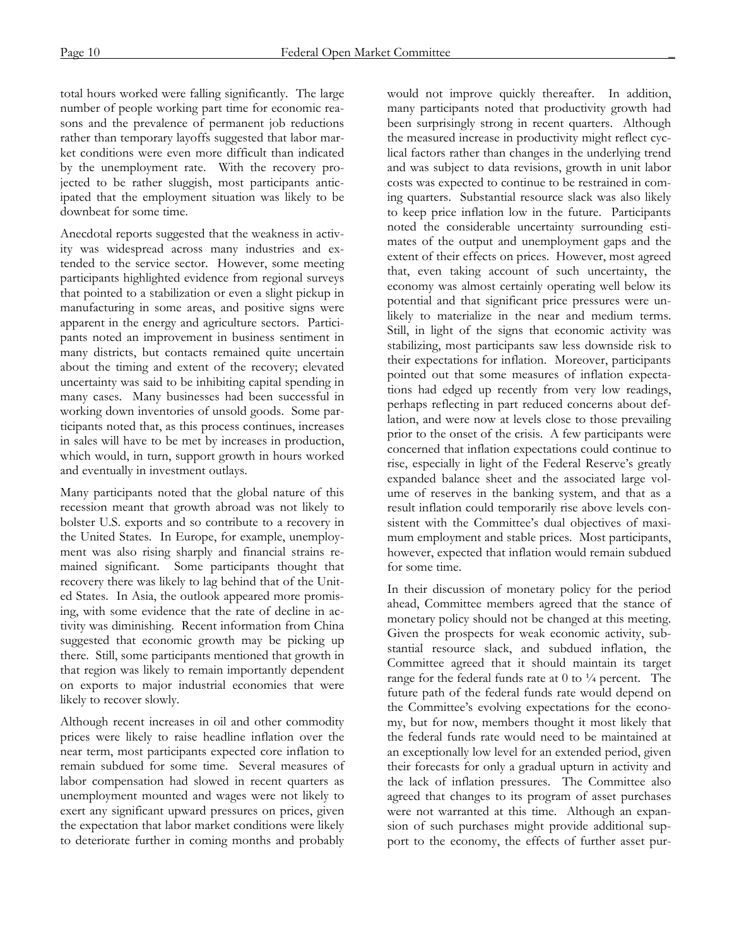total hours worked were falling significantly. The large number of people working part time for economic reasons and the prevalence of permanent job reductions rather than temporary layoffs suggested that labor market conditions were even more difficult than indicated by the unemployment rate. With the recovery projected to be rather sluggish, most participants anticipated that the employment situation was likely to be downbeat for some time.

Anecdotal reports suggested that the weakness in activity was widespread across many industries and extended to the service sector. However, some meeting participants highlighted evidence from regional surveys that pointed to a stabilization or even a slight pickup in manufacturing in some areas, and positive signs were apparent in the energy and agriculture sectors. Participants noted an improvement in business sentiment in many districts, but contacts remained quite uncertain about the timing and extent of the recovery; elevated uncertainty was said to be inhibiting capital spending in many cases. Many businesses had been successful in working down inventories of unsold goods. Some participants noted that, as this process continues, increases in sales will have to be met by increases in production, which would, in turn, support growth in hours worked and eventually in investment outlays.

Many participants noted that the global nature of this recession meant that growth abroad was not likely to bolster U.S. exports and so contribute to a recovery in the United States. In Europe, for example, unemployment was also rising sharply and financial strains remained significant. Some participants thought that recovery there was likely to lag behind that of the United States. In Asia, the outlook appeared more promising, with some evidence that the rate of decline in activity was diminishing. Recent information from China suggested that economic growth may be picking up there. Still, some participants mentioned that growth in that region was likely to remain importantly dependent on exports to major industrial economies that were likely to recover slowly.

Although recent increases in oil and other commodity prices were likely to raise headline inflation over the near term, most participants expected core inflation to remain subdued for some time. Several measures of labor compensation had slowed in recent quarters as unemployment mounted and wages were not likely to exert any significant upward pressures on prices, given the expectation that labor market conditions were likely to deteriorate further in coming months and probably

would not improve quickly thereafter. In addition, many participants noted that productivity growth had been surprisingly strong in recent quarters. Although the measured increase in productivity might reflect cyclical factors rather than changes in the underlying trend and was subject to data revisions, growth in unit labor costs was expected to continue to be restrained in coming quarters. Substantial resource slack was also likely to keep price inflation low in the future. Participants noted the considerable uncertainty surrounding estimates of the output and unemployment gaps and the extent of their effects on prices. However, most agreed that, even taking account of such uncertainty, the economy was almost certainly operating well below its potential and that significant price pressures were unlikely to materialize in the near and medium terms. Still, in light of the signs that economic activity was stabilizing, most participants saw less downside risk to their expectations for inflation. Moreover, participants pointed out that some measures of inflation expectations had edged up recently from very low readings, perhaps reflecting in part reduced concerns about deflation, and were now at levels close to those prevailing prior to the onset of the crisis. A few participants were concerned that inflation expectations could continue to rise, especially in light of the Federal Reserve's greatly expanded balance sheet and the associated large volume of reserves in the banking system, and that as a result inflation could temporarily rise above levels consistent with the Committee's dual objectives of maximum employment and stable prices. Most participants, however, expected that inflation would remain subdued for some time.

In their discussion of monetary policy for the period ahead, Committee members agreed that the stance of monetary policy should not be changed at this meeting. Given the prospects for weak economic activity, substantial resource slack, and subdued inflation, the Committee agreed that it should maintain its target range for the federal funds rate at  $0$  to  $\frac{1}{4}$  percent. The future path of the federal funds rate would depend on the Committee's evolving expectations for the economy, but for now, members thought it most likely that the federal funds rate would need to be maintained at an exceptionally low level for an extended period, given their forecasts for only a gradual upturn in activity and the lack of inflation pressures. The Committee also agreed that changes to its program of asset purchases were not warranted at this time. Although an expansion of such purchases might provide additional support to the economy, the effects of further asset pur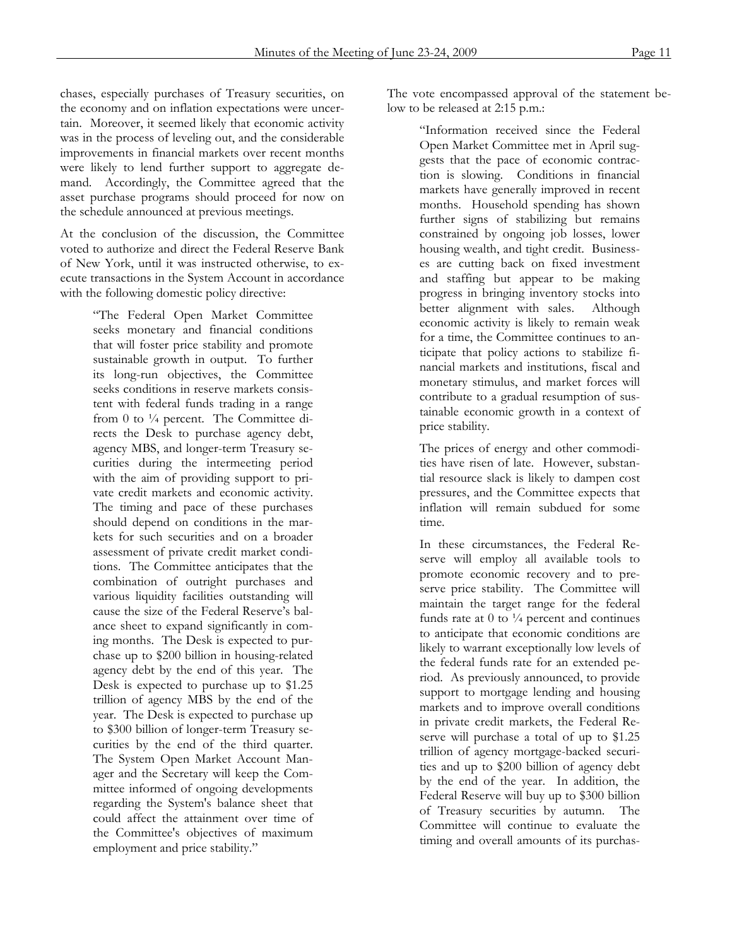chases, especially purchases of Treasury securities, on the economy and on inflation expectations were uncertain. Moreover, it seemed likely that economic activity was in the process of leveling out, and the considerable improvements in financial markets over recent months were likely to lend further support to aggregate demand. Accordingly, the Committee agreed that the asset purchase programs should proceed for now on the schedule announced at previous meetings.

At the conclusion of the discussion, the Committee voted to authorize and direct the Federal Reserve Bank of New York, until it was instructed otherwise, to execute transactions in the System Account in accordance with the following domestic policy directive:

> "The Federal Open Market Committee seeks monetary and financial conditions that will foster price stability and promote sustainable growth in output. To further its long-run objectives, the Committee seeks conditions in reserve markets consistent with federal funds trading in a range from 0 to  $\frac{1}{4}$  percent. The Committee directs the Desk to purchase agency debt, agency MBS, and longer-term Treasury securities during the intermeeting period with the aim of providing support to private credit markets and economic activity. The timing and pace of these purchases should depend on conditions in the markets for such securities and on a broader assessment of private credit market conditions. The Committee anticipates that the combination of outright purchases and various liquidity facilities outstanding will cause the size of the Federal Reserve's balance sheet to expand significantly in coming months. The Desk is expected to purchase up to \$200 billion in housing-related agency debt by the end of this year. The Desk is expected to purchase up to \$1.25 trillion of agency MBS by the end of the year. The Desk is expected to purchase up to \$300 billion of longer-term Treasury securities by the end of the third quarter. The System Open Market Account Manager and the Secretary will keep the Committee informed of ongoing developments regarding the System's balance sheet that could affect the attainment over time of the Committee's objectives of maximum employment and price stability."

The vote encompassed approval of the statement below to be released at 2:15 p.m.:

> "Information received since the Federal Open Market Committee met in April suggests that the pace of economic contraction is slowing. Conditions in financial markets have generally improved in recent months. Household spending has shown further signs of stabilizing but remains constrained by ongoing job losses, lower housing wealth, and tight credit. Businesses are cutting back on fixed investment and staffing but appear to be making progress in bringing inventory stocks into better alignment with sales. Although economic activity is likely to remain weak for a time, the Committee continues to anticipate that policy actions to stabilize financial markets and institutions, fiscal and monetary stimulus, and market forces will contribute to a gradual resumption of sustainable economic growth in a context of price stability.

> The prices of energy and other commodities have risen of late. However, substantial resource slack is likely to dampen cost pressures, and the Committee expects that inflation will remain subdued for some time.

> In these circumstances, the Federal Reserve will employ all available tools to promote economic recovery and to preserve price stability. The Committee will maintain the target range for the federal funds rate at  $0$  to  $\frac{1}{4}$  percent and continues to anticipate that economic conditions are likely to warrant exceptionally low levels of the federal funds rate for an extended period. As previously announced, to provide support to mortgage lending and housing markets and to improve overall conditions in private credit markets, the Federal Reserve will purchase a total of up to \$1.25 trillion of agency mortgage-backed securities and up to \$200 billion of agency debt by the end of the year. In addition, the Federal Reserve will buy up to \$300 billion of Treasury securities by autumn. The Committee will continue to evaluate the timing and overall amounts of its purchas-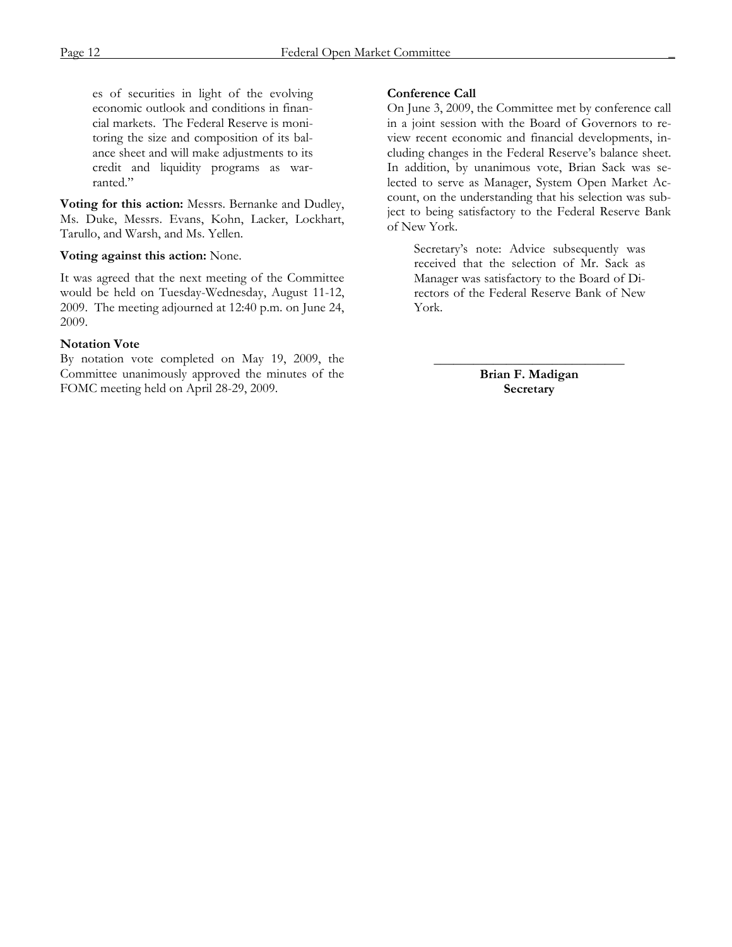es of securities in light of the evolving economic outlook and conditions in financial markets. The Federal Reserve is monitoring the size and composition of its balance sheet and will make adjustments to its credit and liquidity programs as warranted."

**Voting for this action:** Messrs. Bernanke and Dudley, Ms. Duke, Messrs. Evans, Kohn, Lacker, Lockhart, Tarullo, and Warsh, and Ms. Yellen.

#### **Voting against this action:** None.

It was agreed that the next meeting of the Committee would be held on Tuesday-Wednesday, August 11-12, 2009. The meeting adjourned at 12:40 p.m. on June 24, 2009.

#### **Notation Vote**

By notation vote completed on May 19, 2009, the Committee unanimously approved the minutes of the FOMC meeting held on April 28-29, 2009.

#### **Conference Call**

On June 3, 2009, the Committee met by conference call in a joint session with the Board of Governors to review recent economic and financial developments, including changes in the Federal Reserve's balance sheet. In addition, by unanimous vote, Brian Sack was selected to serve as Manager, System Open Market Account, on the understanding that his selection was subject to being satisfactory to the Federal Reserve Bank of New York.

Secretary's note: Advice subsequently was received that the selection of Mr. Sack as Manager was satisfactory to the Board of Directors of the Federal Reserve Bank of New York.

\_\_\_\_\_\_\_\_\_\_\_\_\_\_\_\_\_\_\_\_\_\_\_\_\_\_\_\_\_ **Brian F. Madigan Secretary**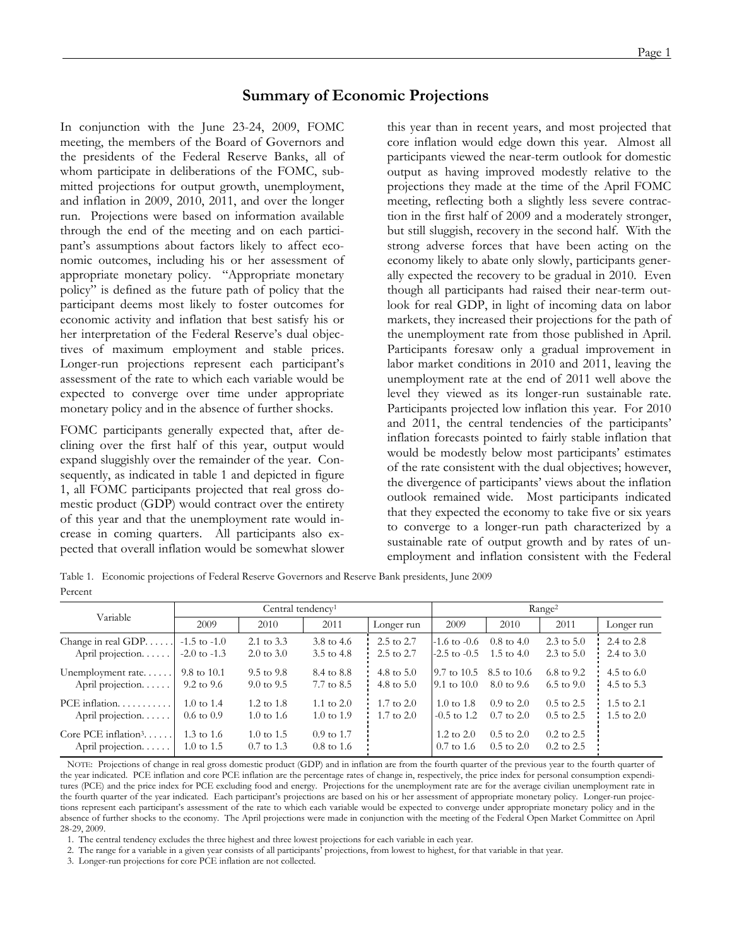## **Summary of Economic Projections**

In conjunction with the June 23-24, 2009, FOMC meeting, the members of the Board of Governors and the presidents of the Federal Reserve Banks, all of whom participate in deliberations of the FOMC, submitted projections for output growth, unemployment, and inflation in 2009, 2010, 2011, and over the longer run. Projections were based on information available through the end of the meeting and on each participant's assumptions about factors likely to affect economic outcomes, including his or her assessment of appropriate monetary policy. "Appropriate monetary policy" is defined as the future path of policy that the participant deems most likely to foster outcomes for economic activity and inflation that best satisfy his or her interpretation of the Federal Reserve's dual objectives of maximum employment and stable prices. Longer-run projections represent each participant's assessment of the rate to which each variable would be expected to converge over time under appropriate monetary policy and in the absence of further shocks.

FOMC participants generally expected that, after declining over the first half of this year, output would expand sluggishly over the remainder of the year. Consequently, as indicated in table 1 and depicted in figure 1, all FOMC participants projected that real gross domestic product (GDP) would contract over the entirety of this year and that the unemployment rate would increase in coming quarters. All participants also expected that overall inflation would be somewhat slower

this year than in recent years, and most projected that core inflation would edge down this year. Almost all participants viewed the near-term outlook for domestic output as having improved modestly relative to the projections they made at the time of the April FOMC meeting, reflecting both a slightly less severe contraction in the first half of 2009 and a moderately stronger, but still sluggish, recovery in the second half. With the strong adverse forces that have been acting on the economy likely to abate only slowly, participants generally expected the recovery to be gradual in 2010. Even though all participants had raised their near-term outlook for real GDP, in light of incoming data on labor markets, they increased their projections for the path of the unemployment rate from those published in April. Participants foresaw only a gradual improvement in labor market conditions in 2010 and 2011, leaving the unemployment rate at the end of 2011 well above the level they viewed as its longer-run sustainable rate. Participants projected low inflation this year. For 2010 and 2011, the central tendencies of the participants' inflation forecasts pointed to fairly stable inflation that would be modestly below most participants' estimates of the rate consistent with the dual objectives; however, the divergence of participants' views about the inflation outlook remained wide. Most participants indicated that they expected the economy to take five or six years to converge to a longer-run path characterized by a sustainable rate of output growth and by rates of unemployment and inflation consistent with the Federal

Table 1. Economic projections of Federal Reserve Governors and Reserve Bank presidents, June 2009 Percent

| Variable                                            | Central tendency <sup>1</sup> |                                                |                                                |                       | Range <sup>2</sup>                             |                                                |                                         |                       |
|-----------------------------------------------------|-------------------------------|------------------------------------------------|------------------------------------------------|-----------------------|------------------------------------------------|------------------------------------------------|-----------------------------------------|-----------------------|
|                                                     | 2009                          | 2010                                           | 2011                                           | Longer run            | 2009                                           | 2010                                           | 2011                                    | Longer run            |
| Change in real GDP                                  | $-1.5$ to $-1.0$              | 2.1 to 3.3                                     | 3.8 to 4.6                                     | $2.5 \text{ to } 2.7$ | $-1.6$ to $-0.6$                               | $0.8 \text{ to } 4.0$                          | $2.3 \text{ to } 5.0$                   | 2.4 to 2.8            |
| April projection.                                   | $-2.0$ to $-1.3$              | $2.0 \text{ to } 3.0$                          | 3.5 to 4.8                                     | $2.5 \text{ to } 2.7$ | $-2.5$ to $-0.5$                               | 1.5 to $4.0$                                   | $2.3 \text{ to } 5.0$                   | 2.4 to $3.0$          |
| Unemployment rate                                   | 9.8 to 10.1                   | $9.5 \text{ to } 9.8$                          | 8.4 to 8.8                                     | 4.8 to $5.0$          | $9.7 \text{ to } 10.5$                         | 8.5 to 10.6                                    | 6.8 to 9.2                              | 4.5 to $6.0$          |
| April projection                                    | 9.2 to 9.6                    | $9.0 \text{ to } 9.5$                          | 7.7 to 8.5                                     | 4.8 to $5.0$          | $9.1 \text{ to } 10.0$                         | 8.0 to 9.6                                     | $6.5 \text{ to } 9.0$                   | 4.5 to 5.3            |
| $PCE$ inflation                                     | $1.0 \text{ to } 1.4$         | 1.2 to $1.8$                                   | 1.1 to $2.0$                                   | $1.7 \text{ to } 2.0$ | 1.0 to 1.8                                     | $0.9 \text{ to } 2.0$                          | $0.5 \text{ to } 2.5$                   | $1.5$ to $2.1$        |
| April projection.                                   | $0.6 \text{ to } 0.9$         | $1.0 \text{ to } 1.6$                          | $1.0 \text{ to } 1.9$                          | $1.7 \text{ to } 2.0$ | $-0.5$ to 1.2                                  | $0.7 \text{ to } 2.0$                          | $0.5 \text{ to } 2.5$                   | $1.5 \text{ to } 2.0$ |
| Core PCE inflation $3, \ldots$<br>April projection. | 1.3 to $1.6$<br>1.0 to 1.5    | $1.0 \text{ to } 1.5$<br>$0.7 \text{ to } 1.3$ | $0.9 \text{ to } 1.7$<br>$0.8 \text{ to } 1.6$ |                       | $1.2 \text{ to } 2.0$<br>$0.7 \text{ to } 1.6$ | $0.5 \text{ to } 2.0$<br>$0.5 \text{ to } 2.0$ | $0.2 \text{ to } 2.5$<br>$0.2$ to $2.5$ |                       |

 NOTE: Projections of change in real gross domestic product (GDP) and in inflation are from the fourth quarter of the previous year to the fourth quarter of the year indicated. PCE inflation and core PCE inflation are the percentage rates of change in, respectively, the price index for personal consumption expenditures (PCE) and the price index for PCE excluding food and energy. Projections for the unemployment rate are for the average civilian unemployment rate in the fourth quarter of the year indicated. Each participant's projections are based on his or her assessment of appropriate monetary policy. Longer-run projections represent each participant's assessment of the rate to which each variable would be expected to converge under appropriate monetary policy and in the absence of further shocks to the economy. The April projections were made in conjunction with the meeting of the Federal Open Market Committee on April 28-29, 2009.

1. The central tendency excludes the three highest and three lowest projections for each variable in each year.

2. The range for a variable in a given year consists of all participants' projections, from lowest to highest, for that variable in that year.

3. Longer-run projections for core PCE inflation are not collected.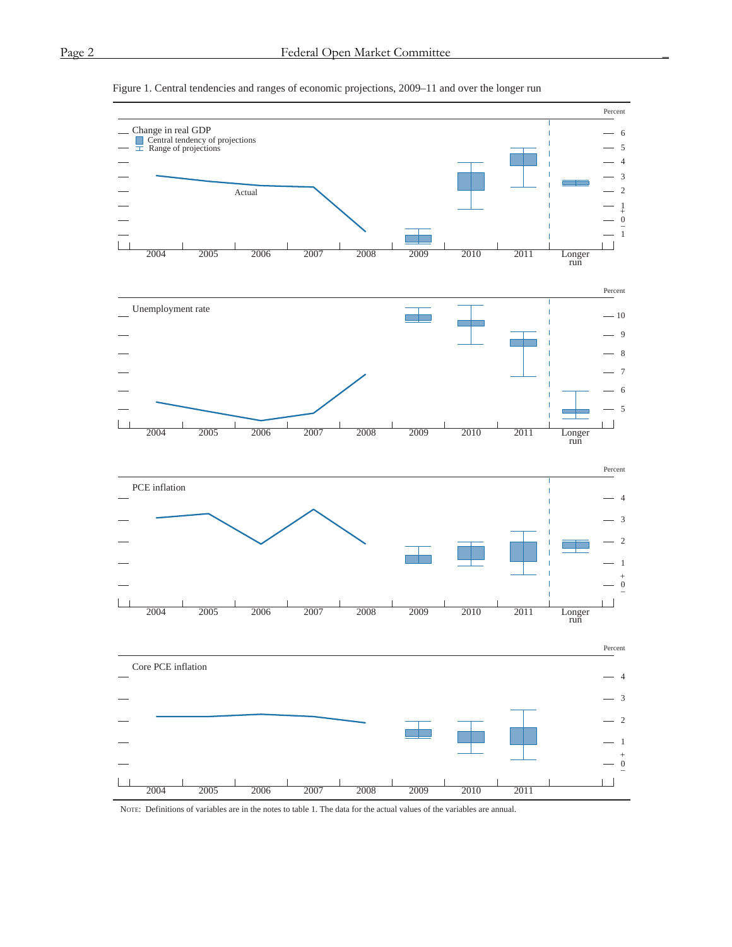

#### Figure 1. Central tendencies and ranges of economic projections, 2009–11 and over the longer run

NOTE: Definitions of variables are in the notes to table 1. The data for the actual values of the variables are annual.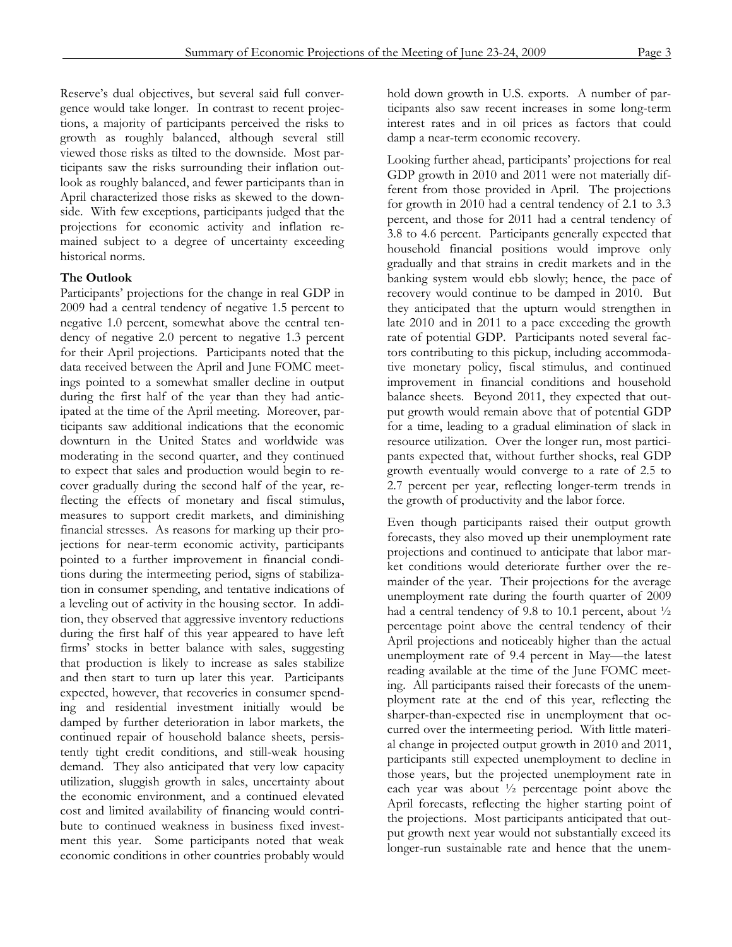Reserve's dual objectives, but several said full convergence would take longer. In contrast to recent projections, a majority of participants perceived the risks to growth as roughly balanced, although several still viewed those risks as tilted to the downside. Most participants saw the risks surrounding their inflation outlook as roughly balanced, and fewer participants than in April characterized those risks as skewed to the downside. With few exceptions, participants judged that the projections for economic activity and inflation remained subject to a degree of uncertainty exceeding historical norms.

## **The Outlook**

Participants' projections for the change in real GDP in 2009 had a central tendency of negative 1.5 percent to negative 1.0 percent, somewhat above the central tendency of negative 2.0 percent to negative 1.3 percent for their April projections. Participants noted that the data received between the April and June FOMC meetings pointed to a somewhat smaller decline in output during the first half of the year than they had anticipated at the time of the April meeting. Moreover, participants saw additional indications that the economic downturn in the United States and worldwide was moderating in the second quarter, and they continued to expect that sales and production would begin to recover gradually during the second half of the year, reflecting the effects of monetary and fiscal stimulus, measures to support credit markets, and diminishing financial stresses. As reasons for marking up their projections for near-term economic activity, participants pointed to a further improvement in financial conditions during the intermeeting period, signs of stabilization in consumer spending, and tentative indications of a leveling out of activity in the housing sector. In addition, they observed that aggressive inventory reductions during the first half of this year appeared to have left firms' stocks in better balance with sales, suggesting that production is likely to increase as sales stabilize and then start to turn up later this year. Participants expected, however, that recoveries in consumer spending and residential investment initially would be damped by further deterioration in labor markets, the continued repair of household balance sheets, persistently tight credit conditions, and still-weak housing demand. They also anticipated that very low capacity utilization, sluggish growth in sales, uncertainty about the economic environment, and a continued elevated cost and limited availability of financing would contribute to continued weakness in business fixed investment this year. Some participants noted that weak economic conditions in other countries probably would

hold down growth in U.S. exports. A number of participants also saw recent increases in some long-term interest rates and in oil prices as factors that could damp a near-term economic recovery.

Looking further ahead, participants' projections for real GDP growth in 2010 and 2011 were not materially different from those provided in April. The projections for growth in 2010 had a central tendency of 2.1 to 3.3 percent, and those for 2011 had a central tendency of 3.8 to 4.6 percent. Participants generally expected that household financial positions would improve only gradually and that strains in credit markets and in the banking system would ebb slowly; hence, the pace of recovery would continue to be damped in 2010. But they anticipated that the upturn would strengthen in late 2010 and in 2011 to a pace exceeding the growth rate of potential GDP. Participants noted several factors contributing to this pickup, including accommodative monetary policy, fiscal stimulus, and continued improvement in financial conditions and household balance sheets. Beyond 2011, they expected that output growth would remain above that of potential GDP for a time, leading to a gradual elimination of slack in resource utilization. Over the longer run, most participants expected that, without further shocks, real GDP growth eventually would converge to a rate of 2.5 to 2.7 percent per year, reflecting longer-term trends in the growth of productivity and the labor force.

Even though participants raised their output growth forecasts, they also moved up their unemployment rate projections and continued to anticipate that labor market conditions would deteriorate further over the remainder of the year. Their projections for the average unemployment rate during the fourth quarter of 2009 had a central tendency of 9.8 to 10.1 percent, about ½ percentage point above the central tendency of their April projections and noticeably higher than the actual unemployment rate of 9.4 percent in May—the latest reading available at the time of the June FOMC meeting. All participants raised their forecasts of the unemployment rate at the end of this year, reflecting the sharper-than-expected rise in unemployment that occurred over the intermeeting period. With little material change in projected output growth in 2010 and 2011, participants still expected unemployment to decline in those years, but the projected unemployment rate in each year was about ½ percentage point above the April forecasts, reflecting the higher starting point of the projections. Most participants anticipated that output growth next year would not substantially exceed its longer-run sustainable rate and hence that the unem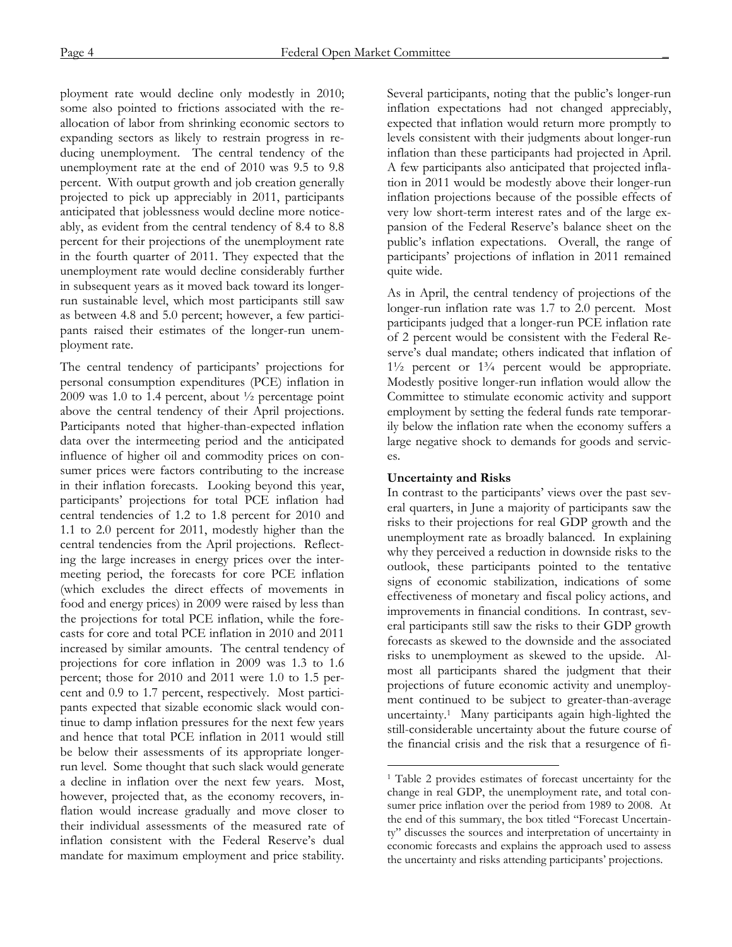ployment rate would decline only modestly in 2010; some also pointed to frictions associated with the reallocation of labor from shrinking economic sectors to expanding sectors as likely to restrain progress in reducing unemployment. The central tendency of the unemployment rate at the end of 2010 was 9.5 to 9.8 percent. With output growth and job creation generally projected to pick up appreciably in 2011, participants anticipated that joblessness would decline more noticeably, as evident from the central tendency of 8.4 to 8.8 percent for their projections of the unemployment rate in the fourth quarter of 2011. They expected that the unemployment rate would decline considerably further in subsequent years as it moved back toward its longerrun sustainable level, which most participants still saw as between 4.8 and 5.0 percent; however, a few participants raised their estimates of the longer-run unemployment rate.

The central tendency of participants' projections for personal consumption expenditures (PCE) inflation in 2009 was 1.0 to 1.4 percent, about ½ percentage point above the central tendency of their April projections. Participants noted that higher-than-expected inflation data over the intermeeting period and the anticipated influence of higher oil and commodity prices on consumer prices were factors contributing to the increase in their inflation forecasts. Looking beyond this year, participants' projections for total PCE inflation had central tendencies of 1.2 to 1.8 percent for 2010 and 1.1 to 2.0 percent for 2011, modestly higher than the central tendencies from the April projections. Reflecting the large increases in energy prices over the intermeeting period, the forecasts for core PCE inflation (which excludes the direct effects of movements in food and energy prices) in 2009 were raised by less than the projections for total PCE inflation, while the forecasts for core and total PCE inflation in 2010 and 2011 increased by similar amounts. The central tendency of projections for core inflation in 2009 was 1.3 to 1.6 percent; those for 2010 and 2011 were 1.0 to 1.5 percent and 0.9 to 1.7 percent, respectively. Most participants expected that sizable economic slack would continue to damp inflation pressures for the next few years and hence that total PCE inflation in 2011 would still be below their assessments of its appropriate longerrun level. Some thought that such slack would generate a decline in inflation over the next few years. Most, however, projected that, as the economy recovers, inflation would increase gradually and move closer to their individual assessments of the measured rate of inflation consistent with the Federal Reserve's dual mandate for maximum employment and price stability.

Several participants, noting that the public's longer-run inflation expectations had not changed appreciably, expected that inflation would return more promptly to levels consistent with their judgments about longer-run inflation than these participants had projected in April. A few participants also anticipated that projected inflation in 2011 would be modestly above their longer-run inflation projections because of the possible effects of very low short-term interest rates and of the large expansion of the Federal Reserve's balance sheet on the public's inflation expectations. Overall, the range of participants' projections of inflation in 2011 remained quite wide.

As in April, the central tendency of projections of the longer-run inflation rate was 1.7 to 2.0 percent. Most participants judged that a longer-run PCE inflation rate of 2 percent would be consistent with the Federal Reserve's dual mandate; others indicated that inflation of  $1\frac{1}{2}$  percent or  $1\frac{3}{4}$  percent would be appropriate. Modestly positive longer-run inflation would allow the Committee to stimulate economic activity and support employment by setting the federal funds rate temporarily below the inflation rate when the economy suffers a large negative shock to demands for goods and services.

## **Uncertainty and Risks**

 $\overline{a}$ 

In contrast to the participants' views over the past several quarters, in June a majority of participants saw the risks to their projections for real GDP growth and the unemployment rate as broadly balanced. In explaining why they perceived a reduction in downside risks to the outlook, these participants pointed to the tentative signs of economic stabilization, indications of some effectiveness of monetary and fiscal policy actions, and improvements in financial conditions. In contrast, several participants still saw the risks to their GDP growth forecasts as skewed to the downside and the associated risks to unemployment as skewed to the upside. Almost all participants shared the judgment that their projections of future economic activity and unemployment continued to be subject to greater-than-average uncertainty.1 Many participants again high-lighted the still-considerable uncertainty about the future course of the financial crisis and the risk that a resurgence of fi-

<sup>1</sup> Table 2 provides estimates of forecast uncertainty for the change in real GDP, the unemployment rate, and total consumer price inflation over the period from 1989 to 2008. At the end of this summary, the box titled "Forecast Uncertainty" discusses the sources and interpretation of uncertainty in economic forecasts and explains the approach used to assess the uncertainty and risks attending participants' projections.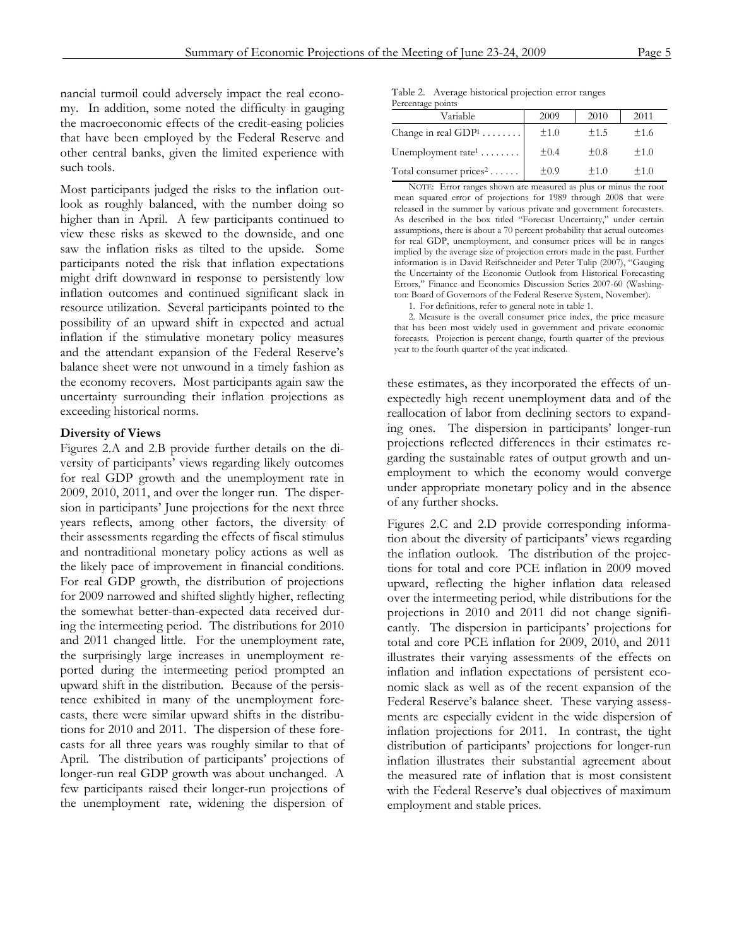nancial turmoil could adversely impact the real economy. In addition, some noted the difficulty in gauging the macroeconomic effects of the credit-easing policies that have been employed by the Federal Reserve and other central banks, given the limited experience with such tools.

Most participants judged the risks to the inflation outlook as roughly balanced, with the number doing so higher than in April. A few participants continued to view these risks as skewed to the downside, and one saw the inflation risks as tilted to the upside. Some participants noted the risk that inflation expectations might drift downward in response to persistently low inflation outcomes and continued significant slack in resource utilization. Several participants pointed to the possibility of an upward shift in expected and actual inflation if the stimulative monetary policy measures and the attendant expansion of the Federal Reserve's balance sheet were not unwound in a timely fashion as the economy recovers. Most participants again saw the uncertainty surrounding their inflation projections as exceeding historical norms.

#### **Diversity of Views**

Figures 2.A and 2.B provide further details on the diversity of participants' views regarding likely outcomes for real GDP growth and the unemployment rate in 2009, 2010, 2011, and over the longer run. The dispersion in participants' June projections for the next three years reflects, among other factors, the diversity of their assessments regarding the effects of fiscal stimulus and nontraditional monetary policy actions as well as the likely pace of improvement in financial conditions. For real GDP growth, the distribution of projections for 2009 narrowed and shifted slightly higher, reflecting the somewhat better-than-expected data received during the intermeeting period. The distributions for 2010 and 2011 changed little. For the unemployment rate, the surprisingly large increases in unemployment reported during the intermeeting period prompted an upward shift in the distribution. Because of the persistence exhibited in many of the unemployment forecasts, there were similar upward shifts in the distributions for 2010 and 2011. The dispersion of these forecasts for all three years was roughly similar to that of April. The distribution of participants' projections of longer-run real GDP growth was about unchanged. A few participants raised their longer-run projections of the unemployment rate, widening the dispersion of

Table 2. Average historical projection error ranges Percentage points

| Variable                           | 2009      | 2010      | 2011 |  |  |  |  |
|------------------------------------|-----------|-----------|------|--|--|--|--|
| Change in real $GDP1$              | ±1.0      | ±1.5      | ±1.6 |  |  |  |  |
| Unemployment rate <sup>1</sup>     | $\pm 0.4$ | $\pm 0.8$ | ±1.0 |  |  |  |  |
| Total consumer prices <sup>2</sup> | $\pm 0.9$ | ±1.0      | ±1.0 |  |  |  |  |

NOTE: Error ranges shown are measured as plus or minus the root mean squared error of projections for 1989 through 2008 that were released in the summer by various private and government forecasters. As described in the box titled "Forecast Uncertainty," under certain assumptions, there is about a 70 percent probability that actual outcomes for real GDP, unemployment, and consumer prices will be in ranges implied by the average size of projection errors made in the past. Further information is in David Reifschneider and Peter Tulip (2007), "Gauging the Uncertainty of the Economic Outlook from Historical Forecasting Errors," Finance and Economics Discussion Series 2007-60 (Washington: Board of Governors of the Federal Reserve System, November).

1. For definitions, refer to general note in table 1.

2. Measure is the overall consumer price index, the price measure that has been most widely used in government and private economic forecasts. Projection is percent change, fourth quarter of the previous year to the fourth quarter of the year indicated.

these estimates, as they incorporated the effects of unexpectedly high recent unemployment data and of the reallocation of labor from declining sectors to expanding ones. The dispersion in participants' longer-run projections reflected differences in their estimates regarding the sustainable rates of output growth and unemployment to which the economy would converge under appropriate monetary policy and in the absence of any further shocks.

Figures 2.C and 2.D provide corresponding information about the diversity of participants' views regarding the inflation outlook. The distribution of the projections for total and core PCE inflation in 2009 moved upward, reflecting the higher inflation data released over the intermeeting period, while distributions for the projections in 2010 and 2011 did not change significantly. The dispersion in participants' projections for total and core PCE inflation for 2009, 2010, and 2011 illustrates their varying assessments of the effects on inflation and inflation expectations of persistent economic slack as well as of the recent expansion of the Federal Reserve's balance sheet. These varying assessments are especially evident in the wide dispersion of inflation projections for 2011. In contrast, the tight distribution of participants' projections for longer-run inflation illustrates their substantial agreement about the measured rate of inflation that is most consistent with the Federal Reserve's dual objectives of maximum employment and stable prices.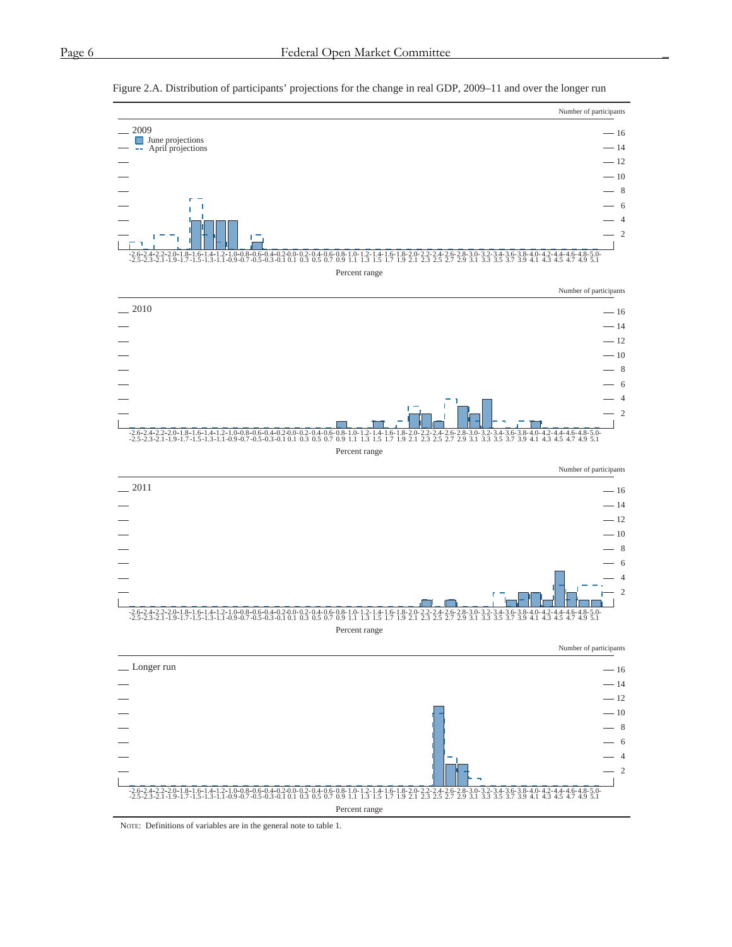

#### Figure 2.A. Distribution of participants' projections for the change in real GDP, 2009–11 and over the longer run

NOTE: Definitions of variables are in the general note to table 1.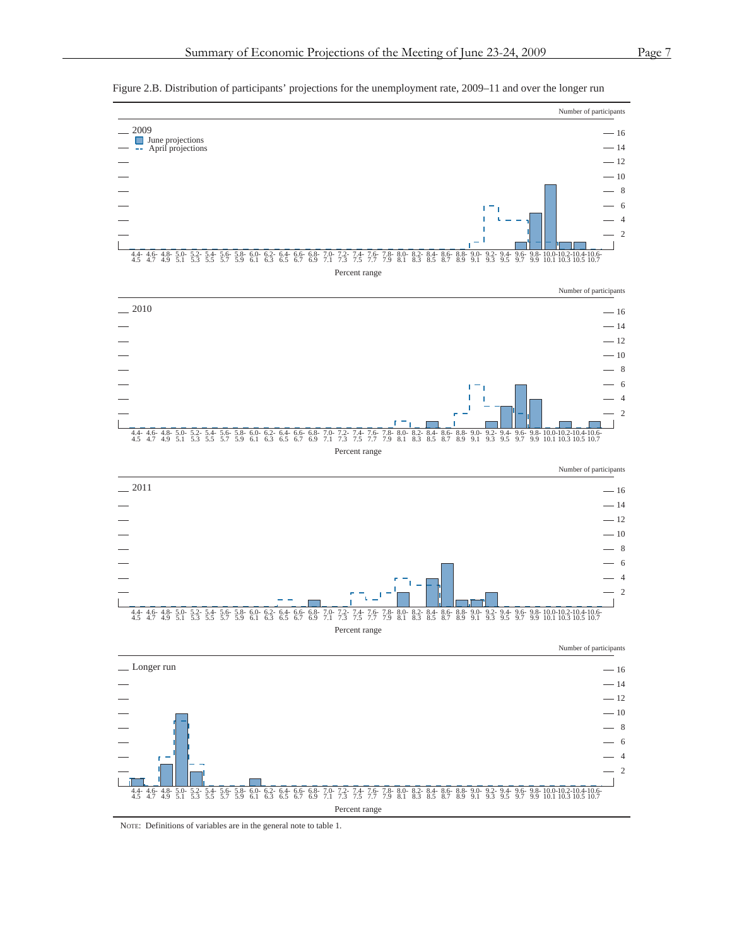

6.6 6.8 7.0 7.2 7.4 7.6 7.7 7.8 8.0 8.2 8.4 8.6 8.8 9.0 9.2 9.4 9.6 9.8 10.0 10.2 10.4 10.6 6.7 6.9 7.1 7.3 7.5 7.7 7.9 8.1 8.3 8.5 8.7 8.9 9.1 9.3 9.5 9.7 9.9 10.1 10.3 10.5 10.7

Figure 2.B. Distribution of participants' projections for the unemployment rate, 2009–11 and over the longer run

NOTE: Definitions of variables are in the general note to table 1.

5.8- 5.9 6.0- 6.1

6.2- 6.3 6.4- 6.5

Percent range

4.4- 4.6- 4.8- 5.0- 5.2- 5.4- 5.6-<br>4.5 4.7 4.9 5.1 5.3 5.5 5.7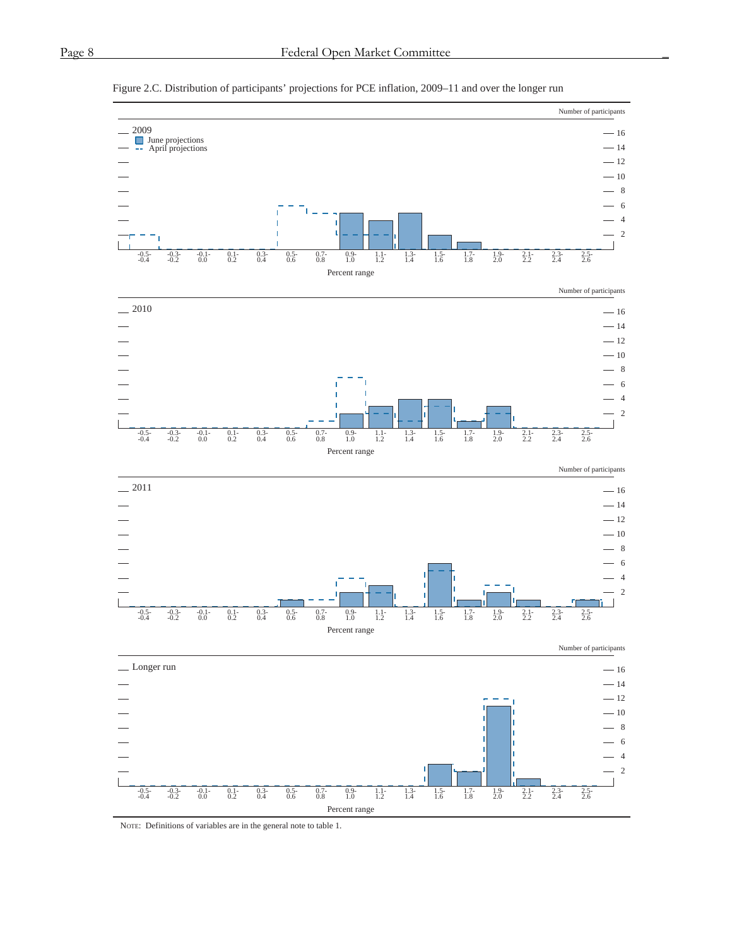

#### Figure 2.C. Distribution of participants' projections for PCE inflation, 2009–11 and over the longer run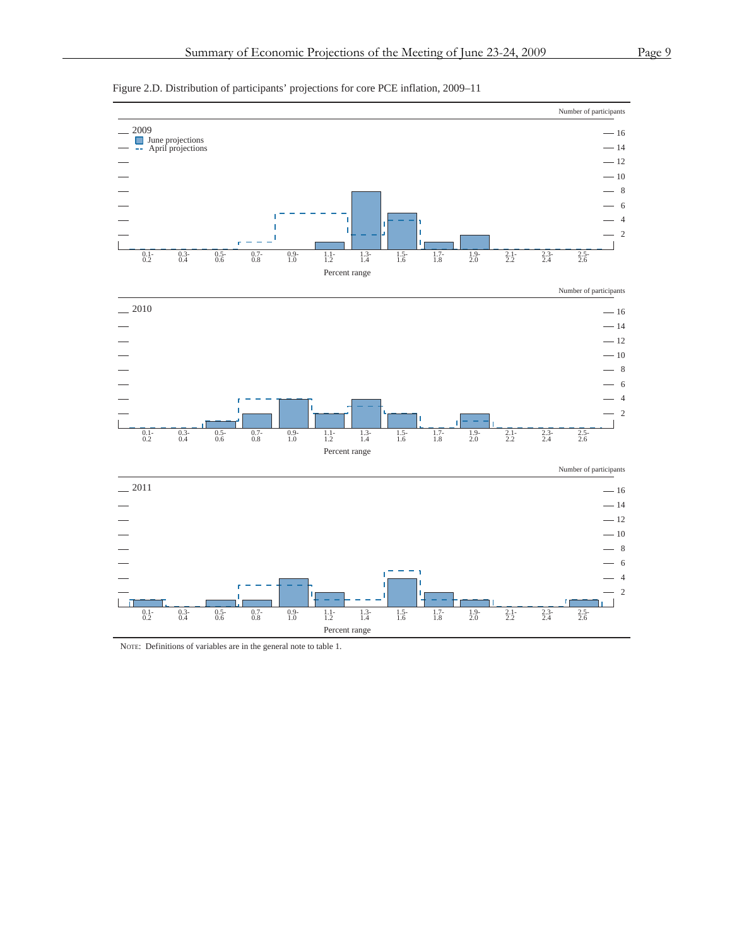



NOTE: Definitions of variables are in the general note to table 1.